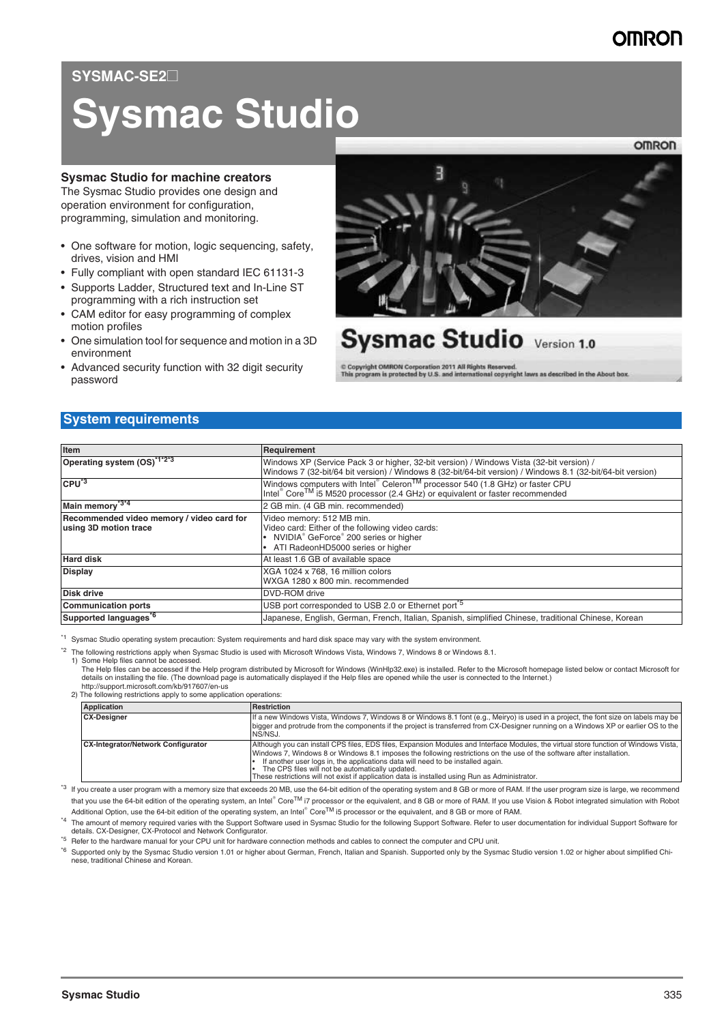# **OMRO**

# SYSMAC-SE2

# **Sysmac Studio**

#### **Sysmac Studio for machine creators**

The Sysmac Studio provides one design and operation environment for configuration, programming, simulation and monitoring.

- One software for motion, logic sequencing, safety, drives, vision and HMI
- Fully compliant with open standard IEC 61131-3
- Supports Ladder, Structured text and In-Line ST programming with a rich instruction set
- CAM editor for easy programming of complex motion profiles
- One simulation tool for sequence and motion in a 3D environment
- Advanced security function with 32 digit security password



# **Sysmac Studio** Version 1.0

C Copyright OMRON Corporation 2011 All Rights Reserved.<br>This program is protected by U.S. and international copyright laws as described in the About box.

# **System requirements**

| Item                                                               | Requirement                                                                                                                                                                                             |
|--------------------------------------------------------------------|---------------------------------------------------------------------------------------------------------------------------------------------------------------------------------------------------------|
| Operating system (OS) <sup>112-3</sup>                             | Windows XP (Service Pack 3 or higher, 32-bit version) / Windows Vista (32-bit version) /<br>Windows 7 (32-bit/64 bit version) / Windows 8 (32-bit/64-bit version) / Windows 8.1 (32-bit/64-bit version) |
| $CPU^3$                                                            | Windows computers with Intel® Celeron <sup>TM</sup> processor 540 (1.8 GHz) or faster CPU<br>Intel® Core <sup>TM</sup> i5 M520 processor (2.4 GHz) or equivalent or faster recommended                  |
| Main memory <sup>*3*4</sup>                                        | 2 GB min. (4 GB min. recommended)                                                                                                                                                                       |
| Recommended video memory / video card for<br>using 3D motion trace | Video memory: 512 MB min.<br>Video card: Either of the following video cards:<br>NVIDIA® GeForce® 200 series or higher<br>ATI RadeonHD5000 series or higher                                             |
| <b>Hard disk</b>                                                   | At least 1.6 GB of available space                                                                                                                                                                      |
| <b>Display</b>                                                     | XGA 1024 x 768, 16 million colors<br>WXGA 1280 x 800 min. recommended                                                                                                                                   |
| <b>Disk drive</b>                                                  | DVD-ROM drive                                                                                                                                                                                           |
| <b>Communication ports</b>                                         | USB port corresponded to USB 2.0 or Ethernet port <sup>75</sup>                                                                                                                                         |
| Supported languages <sup>56</sup>                                  | Japanese, English, German, French, Italian, Spanish, simplified Chinese, traditional Chinese, Korean                                                                                                    |

\*1 Sysmac Studio operating system precaution: System requirements and hard disk space may vary with the system environment.

\*2 The following restrictions apply when Sysmac Studio is used with Microsoft Windows Vista, Windows 7, Windows 8 or Windows 8.1.

1) Some Help files cannot be accessed.

The Help files can be accessed if the Help program distributed by Microsoft for Windows (WinHlp32.exe) is installed. Refer to the Microsoft homepage listed below or contact Microsoft for details on installing the file. (The download page is automatically displayed if the Help files are opened while the user is connected to the Internet.) http://support.microsoft.com/kb/917607/en-us

2) The following restrictions apply to some application operations:

| <b>Application</b>                        | <b>Restriction</b>                                                                                                                                                                                                                                                                                                                                                                                                                                                                                     |
|-------------------------------------------|--------------------------------------------------------------------------------------------------------------------------------------------------------------------------------------------------------------------------------------------------------------------------------------------------------------------------------------------------------------------------------------------------------------------------------------------------------------------------------------------------------|
| <b>CX-Designer</b>                        | If a new Windows Vista, Windows 7, Windows 8 or Windows 8.1 font (e.g., Meiryo) is used in a project, the font size on labels may be<br>bigger and protrude from the components if the project is transferred from CX-Designer running on a Windows XP or earlier OS to the<br>NS/NSJ.                                                                                                                                                                                                                 |
| <b>CX-Integrator/Network Configurator</b> | Although you can install CPS files, EDS files, Expansion Modules and Interface Modules, the virtual store function of Windows Vista,<br>Windows 7, Windows 8 or Windows 8.1 imposes the following restrictions on the use of the software after installation.<br>If another user logs in, the applications data will need to be installed again.<br>The CPS files will not be automatically updated.<br>These restrictions will not exist if application data is installed using Run as Administrator. |

\*3 If you create a user program with a memory size that exceeds 20 MB, use the 64-bit edition of the operating system and 8 GB or more of RAM. If the user program size is large, we recommend that you use the 64-bit edition of the operating system, an Intel® Core<sup>TM</sup> i7 processor or the equivalent, and 8 GB or more of RAM. If you use Vision & Robot integrated simulation with Robot Additional Option, use the 64-bit edition of the operating system, an Intel® Core<sup>TM</sup> i5 processor or the equivalent, and 8 GB or more of RAM.

\*4 The amount of memory required varies with the Support Software used in Sysmac Studio for the following Support Software. Refer to user documentation for individual Support Software for details. CX-Designer, CX-Protocol and Network Configurator.

\*5 Refer to the hardware manual for your CPU unit for hardware connection methods and cables to connect the computer and CPU unit.

\*6 Supported only by the Sysmac Studio version 1.01 or higher about German, French, Italian and Spanish. Supported only by the Sysmac Studio version 1.02 or higher about simplified Chinese, traditional Chinese and Korean.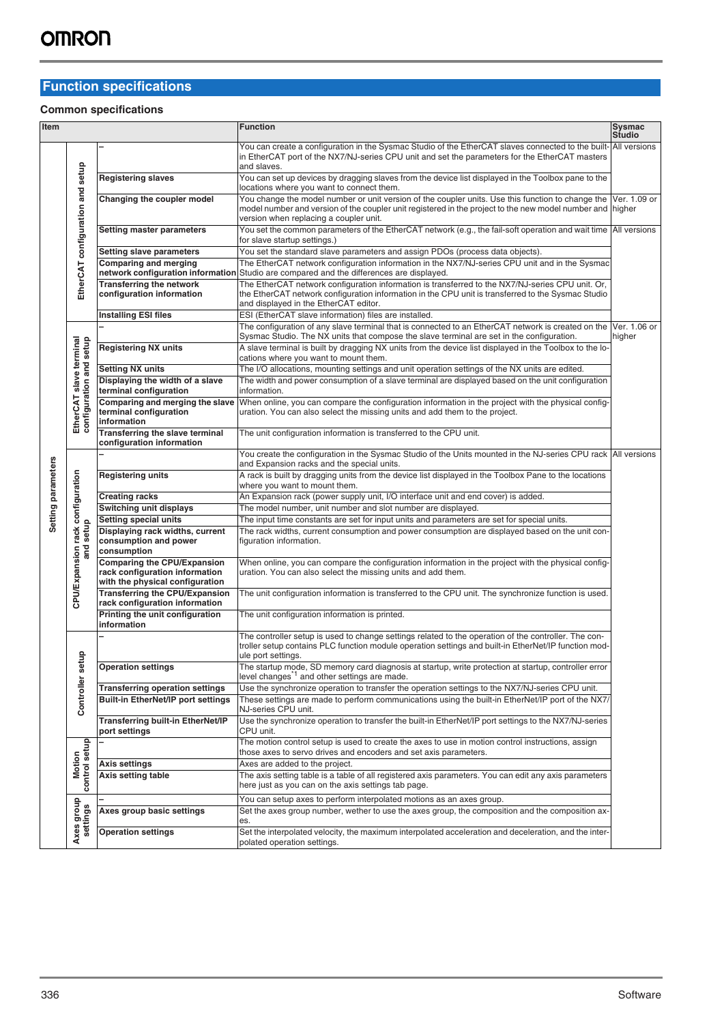# **Function specifications**

### **Common specifications**

| Item               |                                                    |                                                                                                         | <b>Function</b>                                                                                                                                                                                                                                                       | Sysmac<br>Studio       |
|--------------------|----------------------------------------------------|---------------------------------------------------------------------------------------------------------|-----------------------------------------------------------------------------------------------------------------------------------------------------------------------------------------------------------------------------------------------------------------------|------------------------|
|                    |                                                    |                                                                                                         | You can create a configuration in the Sysmac Studio of the EtherCAT slaves connected to the built-All versions<br>in EtherCAT port of the NX7/NJ-series CPU unit and set the parameters for the EtherCAT masters<br>and slaves.                                       |                        |
|                    |                                                    | <b>Registering slaves</b>                                                                               | You can set up devices by dragging slaves from the device list displayed in the Toolbox pane to the<br>locations where you want to connect them.                                                                                                                      |                        |
|                    | EtherCAT configuration and setup                   | Changing the coupler model                                                                              | You change the model number or unit version of the coupler units. Use this function to change the Ver. 1.09 or<br>model number and version of the coupler unit registered in the project to the new model number and higher<br>version when replacing a coupler unit. |                        |
|                    |                                                    | <b>Setting master parameters</b>                                                                        | You set the common parameters of the EtherCAT network (e.g., the fail-soft operation and wait time All versions<br>for slave startup settings.)                                                                                                                       |                        |
|                    |                                                    | <b>Setting slave parameters</b>                                                                         | You set the standard slave parameters and assign PDOs (process data objects).                                                                                                                                                                                         |                        |
|                    |                                                    | Comparing and merging                                                                                   | The EtherCAT network configuration information in the NX7/NJ-series CPU unit and in the Sysmac<br>network configuration information Studio are compared and the differences are displayed.                                                                            |                        |
|                    |                                                    | <b>Transferring the network</b><br>configuration information                                            | The EtherCAT network configuration information is transferred to the NX7/NJ-series CPU unit. Or,<br>the EtherCAT network configuration information in the CPU unit is transferred to the Sysmac Studio<br>and displayed in the EtherCAT editor.                       |                        |
|                    |                                                    | <b>Installing ESI files</b>                                                                             | ESI (EtherCAT slave information) files are installed.                                                                                                                                                                                                                 |                        |
|                    |                                                    |                                                                                                         | The configuration of any slave terminal that is connected to an EtherCAT network is created on the<br>Sysmac Studio. The NX units that compose the slave terminal are set in the configuration.                                                                       | Ver. 1.06 or<br>higher |
|                    |                                                    | <b>Registering NX units</b>                                                                             | A slave terminal is built by dragging NX units from the device list displayed in the Toolbox to the lo-<br>cations where you want to mount them.                                                                                                                      |                        |
|                    |                                                    | <b>Setting NX units</b>                                                                                 | The I/O allocations, mounting settings and unit operation settings of the NX units are edited.                                                                                                                                                                        |                        |
|                    |                                                    | Displaying the width of a slave<br>terminal configuration                                               | The width and power consumption of a slave terminal are displayed based on the unit configuration<br>information.                                                                                                                                                     |                        |
|                    | EtherCAT slave terminal<br>configuration and setup | Comparing and merging the slave<br>terminal configuration<br>information                                | When online, you can compare the configuration information in the project with the physical config-<br>uration. You can also select the missing units and add them to the project.                                                                                    |                        |
|                    |                                                    | Transferring the slave terminal<br>configuration information                                            | The unit configuration information is transferred to the CPU unit.                                                                                                                                                                                                    |                        |
|                    |                                                    |                                                                                                         | You create the configuration in the Sysmac Studio of the Units mounted in the NJ-series CPU rack All versions<br>and Expansion racks and the special units.                                                                                                           |                        |
|                    | CPU/Expansion rack configuration                   | <b>Registering units</b>                                                                                | A rack is built by dragging units from the device list displayed in the Toolbox Pane to the locations<br>where you want to mount them.                                                                                                                                |                        |
| Setting parameters |                                                    | <b>Creating racks</b>                                                                                   | An Expansion rack (power supply unit, I/O interface unit and end cover) is added.                                                                                                                                                                                     |                        |
|                    |                                                    | Switching unit displays                                                                                 | The model number, unit number and slot number are displayed.                                                                                                                                                                                                          |                        |
|                    |                                                    | Setting special units                                                                                   | The input time constants are set for input units and parameters are set for special units.                                                                                                                                                                            |                        |
|                    | and setup                                          | Displaying rack widths, current<br>consumption and power<br>consumption                                 | The rack widths, current consumption and power consumption are displayed based on the unit con-<br>figuration information.                                                                                                                                            |                        |
|                    |                                                    | <b>Comparing the CPU/Expansion</b><br>rack configuration information<br>with the physical configuration | When online, you can compare the configuration information in the project with the physical config-<br>uration. You can also select the missing units and add them.                                                                                                   |                        |
|                    |                                                    | <b>Transferring the CPU/Expansion</b><br>rack configuration information                                 | The unit configuration information is transferred to the CPU unit. The synchronize function is used.                                                                                                                                                                  |                        |
|                    |                                                    | Printing the unit configuration<br>information                                                          | The unit configuration information is printed.                                                                                                                                                                                                                        |                        |
|                    | θ                                                  |                                                                                                         | The controller setup is used to change settings related to the operation of the controller. The con-<br>troller setup contains PLC function module operation settings and built-in EtherNet/IP function mod-<br>ule port settings.                                    |                        |
|                    |                                                    | <b>Operation settings</b>                                                                               | The startup mode, SD memory card diagnosis at startup, write protection at startup, controller error<br>level changes <sup>1</sup> and other settings are made.                                                                                                       |                        |
|                    |                                                    | <b>Transferring operation settings</b>                                                                  | Use the synchronize operation to transfer the operation settings to the NX7/NJ-series CPU unit.                                                                                                                                                                       |                        |
|                    | Controller se                                      | <b>Built-in EtherNet/IP port settings</b>                                                               | These settings are made to perform communications using the built-in EtherNet/IP port of the NX7/<br>NJ-series CPU unit.                                                                                                                                              |                        |
|                    |                                                    | <b>Transferring built-in EtherNet/IP</b><br>port settings                                               | Use the synchronize operation to transfer the built-in EtherNet/IP port settings to the NX7/NJ-series<br>CPU unit.                                                                                                                                                    |                        |
|                    |                                                    |                                                                                                         | The motion control setup is used to create the axes to use in motion control instructions, assign<br>those axes to servo drives and encoders and set axis parameters.                                                                                                 |                        |
|                    | Motion                                             | <b>Axis settings</b>                                                                                    | Axes are added to the project.                                                                                                                                                                                                                                        |                        |
|                    | control setup                                      | Axis setting table                                                                                      | The axis setting table is a table of all registered axis parameters. You can edit any axis parameters<br>here just as you can on the axis settings tab page.                                                                                                          |                        |
|                    |                                                    |                                                                                                         | You can setup axes to perform interpolated motions as an axes group.                                                                                                                                                                                                  |                        |
|                    | dno.fo<br>settings                                 | Axes group basic settings                                                                               | Set the axes group number, wether to use the axes group, the composition and the composition ax-<br>es.                                                                                                                                                               |                        |
|                    | Axes                                               | <b>Operation settings</b>                                                                               | Set the interpolated velocity, the maximum interpolated acceleration and deceleration, and the inter-<br>polated operation settings.                                                                                                                                  |                        |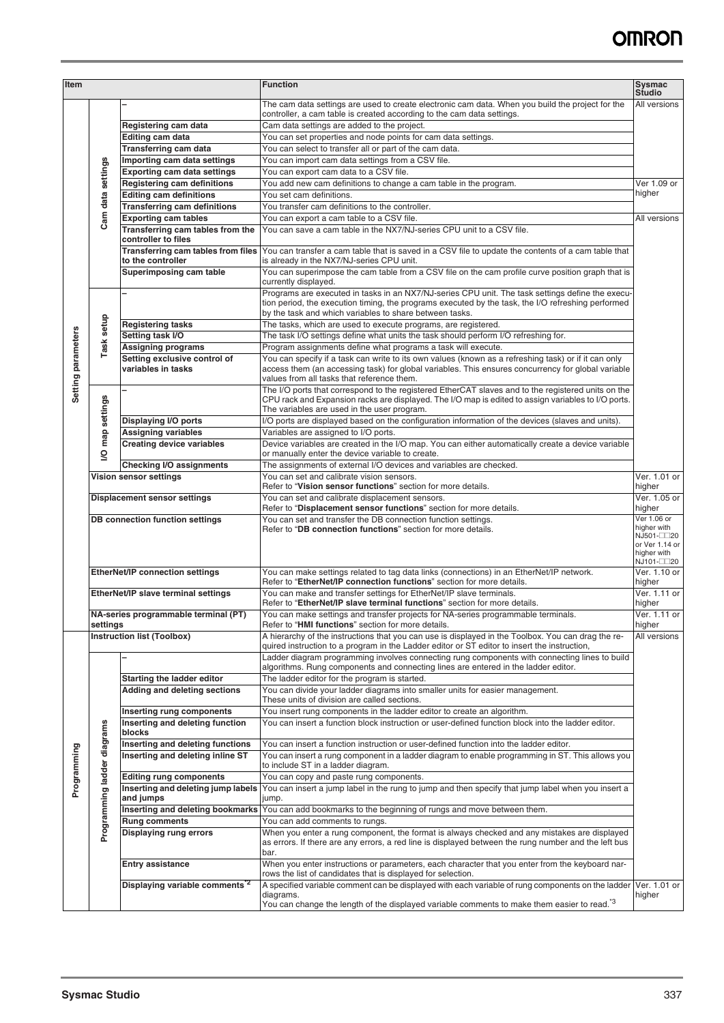| Item               |                                                  |                                                                       | <b>Function</b>                                                                                                                                                                                                                                                   | Sysmac<br>Studio                                                          |
|--------------------|--------------------------------------------------|-----------------------------------------------------------------------|-------------------------------------------------------------------------------------------------------------------------------------------------------------------------------------------------------------------------------------------------------------------|---------------------------------------------------------------------------|
|                    |                                                  |                                                                       | The cam data settings are used to create electronic cam data. When you build the project for the<br>controller, a cam table is created according to the cam data settings.                                                                                        | All versions                                                              |
|                    |                                                  | Registering cam data                                                  | Cam data settings are added to the project.                                                                                                                                                                                                                       |                                                                           |
|                    |                                                  | Editing cam data                                                      | You can set properties and node points for cam data settings.                                                                                                                                                                                                     |                                                                           |
|                    |                                                  | Transferring cam data                                                 | You can select to transfer all or part of the cam data.                                                                                                                                                                                                           |                                                                           |
|                    | Cam data settings                                | Importing cam data settings                                           | You can import cam data settings from a CSV file.                                                                                                                                                                                                                 |                                                                           |
|                    |                                                  | <b>Exporting cam data settings</b>                                    | You can export cam data to a CSV file.                                                                                                                                                                                                                            |                                                                           |
|                    |                                                  | <b>Registering cam definitions</b>                                    | You add new cam definitions to change a cam table in the program.                                                                                                                                                                                                 | Ver 1.09 or<br>higher                                                     |
|                    |                                                  | <b>Editing cam definitions</b><br><b>Transferring cam definitions</b> | You set cam definitions.<br>You transfer cam definitions to the controller.                                                                                                                                                                                       |                                                                           |
|                    |                                                  | <b>Exporting cam tables</b>                                           | You can export a cam table to a CSV file.                                                                                                                                                                                                                         | All versions                                                              |
|                    |                                                  | Transferring cam tables from the<br>controller to files               | You can save a cam table in the NX7/NJ-series CPU unit to a CSV file.                                                                                                                                                                                             |                                                                           |
|                    |                                                  | Transferring cam tables from files<br>to the controller               | You can transfer a cam table that is saved in a CSV file to update the contents of a cam table that<br>is already in the NX7/NJ-series CPU unit.                                                                                                                  |                                                                           |
|                    |                                                  | Superimposing cam table                                               | You can superimpose the cam table from a CSV file on the cam profile curve position graph that is<br>currently displayed.                                                                                                                                         |                                                                           |
|                    |                                                  |                                                                       | Programs are executed in tasks in an NX7/NJ-series CPU unit. The task settings define the execu-<br>tion period, the execution timing, the programs executed by the task, the I/O refreshing performed<br>by the task and which variables to share between tasks. |                                                                           |
|                    | Task setup                                       | <b>Registering tasks</b>                                              | The tasks, which are used to execute programs, are registered.                                                                                                                                                                                                    |                                                                           |
|                    |                                                  | Setting task I/O                                                      | The task I/O settings define what units the task should perform I/O refreshing for.                                                                                                                                                                               |                                                                           |
|                    |                                                  | <b>Assigning programs</b>                                             | Program assignments define what programs a task will execute.                                                                                                                                                                                                     |                                                                           |
| Setting parameters |                                                  | Setting exclusive control of<br>variables in tasks                    | You can specify if a task can write to its own values (known as a refreshing task) or if it can only<br>access them (an accessing task) for global variables. This ensures concurrency for global variable<br>values from all tasks that reference them.          |                                                                           |
|                    | map settings                                     |                                                                       | The I/O ports that correspond to the registered EtherCAT slaves and to the registered units on the<br>CPU rack and Expansion racks are displayed. The I/O map is edited to assign variables to I/O ports.<br>The variables are used in the user program.          |                                                                           |
|                    |                                                  | <b>Displaying I/O ports</b>                                           | I/O ports are displayed based on the configuration information of the devices (slaves and units).                                                                                                                                                                 |                                                                           |
|                    |                                                  | <b>Assigning variables</b><br><b>Creating device variables</b>        | Variables are assigned to I/O ports.<br>Device variables are created in the I/O map. You can either automatically create a device variable                                                                                                                        |                                                                           |
|                    | $\overline{S}$                                   | <b>Checking I/O assignments</b>                                       | or manually enter the device variable to create.<br>The assignments of external I/O devices and variables are checked.                                                                                                                                            |                                                                           |
|                    |                                                  | Vision sensor settings                                                | You can set and calibrate vision sensors.                                                                                                                                                                                                                         | Ver. 1.01 or                                                              |
|                    |                                                  |                                                                       | Refer to "Vision sensor functions" section for more details.                                                                                                                                                                                                      | higher                                                                    |
|                    |                                                  | Displacement sensor settings                                          | You can set and calibrate displacement sensors.                                                                                                                                                                                                                   | Ver. 1.05 or                                                              |
|                    |                                                  |                                                                       | Refer to "Displacement sensor functions" section for more details.                                                                                                                                                                                                | higher                                                                    |
|                    |                                                  | DB connection function settings                                       | You can set and transfer the DB connection function settings.<br>Refer to "DB connection functions" section for more details.                                                                                                                                     | Ver 1.06 or<br>higher with<br>NJ501-□□20<br>or Ver 1.14 or<br>higher with |
|                    |                                                  | <b>EtherNet/IP connection settings</b>                                | You can make settings related to tag data links (connections) in an EtherNet/IP network.<br>Refer to "EtherNet/IP connection functions" section for more details.                                                                                                 | NJ101-□□20<br>Ver. 1.10 or<br>higher                                      |
|                    |                                                  | EtherNet/IP slave terminal settings                                   | You can make and transfer settings for EtherNet/IP slave terminals.<br>Refer to "EtherNet/IP slave terminal functions" section for more details.                                                                                                                  | Ver. 1.11 or<br>higher                                                    |
|                    | NA-series programmable terminal (PT)<br>settings |                                                                       | You can make settings and transfer projects for NA-series programmable terminals.<br>Refer to "HMI functions" section for more details.                                                                                                                           | Ver. 1.11 or<br>higher                                                    |
|                    |                                                  | Instruction list (Toolbox)                                            | A hierarchy of the instructions that you can use is displayed in the Toolbox. You can drag the re-<br>quired instruction to a program in the Ladder editor or ST editor to insert the instruction,                                                                | All versions                                                              |
|                    |                                                  |                                                                       | Ladder diagram programming involves connecting rung components with connecting lines to build<br>algorithms. Rung components and connecting lines are entered in the ladder editor.                                                                               |                                                                           |
|                    |                                                  | <b>Starting the ladder editor</b>                                     | The ladder editor for the program is started.                                                                                                                                                                                                                     |                                                                           |
|                    |                                                  | Adding and deleting sections                                          | You can divide your ladder diagrams into smaller units for easier management.                                                                                                                                                                                     |                                                                           |
|                    |                                                  |                                                                       | These units of division are called sections.                                                                                                                                                                                                                      |                                                                           |
|                    |                                                  | Inserting rung components                                             | You insert rung components in the ladder editor to create an algorithm.                                                                                                                                                                                           |                                                                           |
|                    |                                                  | Inserting and deleting function<br>blocks                             | You can insert a function block instruction or user-defined function block into the ladder editor.                                                                                                                                                                |                                                                           |
| Programming        | diagrams                                         | Inserting and deleting functions<br>Inserting and deleting inline ST  | You can insert a function instruction or user-defined function into the ladder editor.<br>You can insert a rung component in a ladder diagram to enable programming in ST. This allows you<br>to include ST in a ladder diagram.                                  |                                                                           |
|                    |                                                  | <b>Editing rung components</b>                                        | You can copy and paste rung components.                                                                                                                                                                                                                           |                                                                           |
|                    | Programming ladder                               | Inserting and deleting jump labels<br>and jumps                       | You can insert a jump label in the rung to jump and then specify that jump label when you insert a<br>jump.                                                                                                                                                       |                                                                           |
|                    |                                                  | Inserting and deleting bookmarks                                      | You can add bookmarks to the beginning of rungs and move between them.                                                                                                                                                                                            |                                                                           |
|                    |                                                  | <b>Rung comments</b>                                                  | You can add comments to rungs.                                                                                                                                                                                                                                    |                                                                           |
|                    |                                                  | <b>Displaying rung errors</b>                                         | When you enter a rung component, the format is always checked and any mistakes are displayed<br>as errors. If there are any errors, a red line is displayed between the rung number and the left bus<br>bar.                                                      |                                                                           |
|                    |                                                  | <b>Entry assistance</b>                                               | When you enter instructions or parameters, each character that you enter from the keyboard nar-<br>rows the list of candidates that is displayed for selection.                                                                                                   |                                                                           |
|                    |                                                  | Displaying variable comments <sup>2</sup>                             | A specified variable comment can be displayed with each variable of rung components on the ladder<br>diagrams.<br>You can change the length of the displayed variable comments to make them easier to read. <sup>*3</sup>                                         | Ver. 1.01 or<br>higher                                                    |
|                    |                                                  |                                                                       |                                                                                                                                                                                                                                                                   |                                                                           |
|                    | <b>Sysmac Studio</b>                             |                                                                       |                                                                                                                                                                                                                                                                   | 337                                                                       |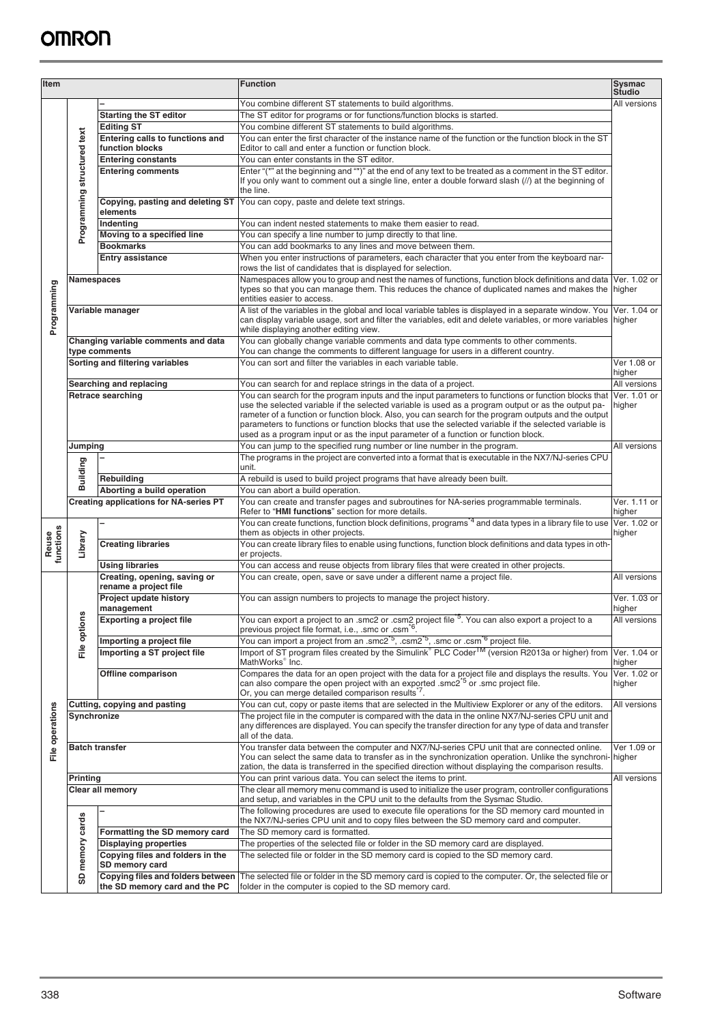| Item               |                                               |                                                                           | <b>Function</b>                                                                                                                                                                                                                                                                                                                                                                                            | Sysmac<br><b>Studio</b> |
|--------------------|-----------------------------------------------|---------------------------------------------------------------------------|------------------------------------------------------------------------------------------------------------------------------------------------------------------------------------------------------------------------------------------------------------------------------------------------------------------------------------------------------------------------------------------------------------|-------------------------|
|                    |                                               |                                                                           | You combine different ST statements to build algorithms.                                                                                                                                                                                                                                                                                                                                                   | All versions            |
|                    |                                               | <b>Starting the ST editor</b>                                             | The ST editor for programs or for functions/function blocks is started.                                                                                                                                                                                                                                                                                                                                    |                         |
|                    |                                               | <b>Editing ST</b>                                                         | You combine different ST statements to build algorithms.                                                                                                                                                                                                                                                                                                                                                   |                         |
|                    |                                               | Entering calls to functions and                                           | You can enter the first character of the instance name of the function or the function block in the ST                                                                                                                                                                                                                                                                                                     |                         |
|                    |                                               | function blocks                                                           | Editor to call and enter a function or function block.                                                                                                                                                                                                                                                                                                                                                     |                         |
|                    |                                               | <b>Entering constants</b>                                                 | You can enter constants in the ST editor.                                                                                                                                                                                                                                                                                                                                                                  |                         |
|                    |                                               | <b>Entering comments</b>                                                  | Enter "(*" at the beginning and "*)" at the end of any text to be treated as a comment in the ST editor.<br>If you only want to comment out a single line, enter a double forward slash (//) at the beginning of<br>the line.                                                                                                                                                                              |                         |
|                    | Programming structured text                   | Copying, pasting and deleting ST<br>elements                              | You can copy, paste and delete text strings.                                                                                                                                                                                                                                                                                                                                                               |                         |
|                    |                                               | Indenting                                                                 | You can indent nested statements to make them easier to read.                                                                                                                                                                                                                                                                                                                                              |                         |
|                    |                                               | Moving to a specified line                                                | You can specify a line number to jump directly to that line.                                                                                                                                                                                                                                                                                                                                               |                         |
|                    |                                               | <b>Bookmarks</b>                                                          | You can add bookmarks to any lines and move between them.                                                                                                                                                                                                                                                                                                                                                  |                         |
|                    |                                               | <b>Entry assistance</b>                                                   | When you enter instructions of parameters, each character that you enter from the keyboard nar-<br>rows the list of candidates that is displayed for selection.                                                                                                                                                                                                                                            |                         |
|                    | Namespaces                                    |                                                                           | Namespaces allow you to group and nest the names of functions, function block definitions and data                                                                                                                                                                                                                                                                                                         | Ver. 1.02 or            |
|                    |                                               |                                                                           | types so that you can manage them. This reduces the chance of duplicated names and makes the<br>entities easier to access.                                                                                                                                                                                                                                                                                 | higher                  |
| Programming        |                                               | Variable manager                                                          | A list of the variables in the global and local variable tables is displayed in a separate window. You<br>can display variable usage, sort and filter the variables, edit and delete variables, or more variables<br>while displaying another editing view.                                                                                                                                                | Ver. 1.04 or<br>higher  |
|                    |                                               | Changing variable comments and data<br>type comments                      | You can globally change variable comments and data type comments to other comments.<br>You can change the comments to different language for users in a different country.                                                                                                                                                                                                                                 |                         |
|                    |                                               | Sorting and filtering variables                                           | You can sort and filter the variables in each variable table.                                                                                                                                                                                                                                                                                                                                              | Ver 1.08 or<br>higher   |
|                    |                                               | Searching and replacing                                                   | You can search for and replace strings in the data of a project.                                                                                                                                                                                                                                                                                                                                           | All versions            |
|                    |                                               | Retrace searching                                                         | You can search for the program inputs and the input parameters to functions or function blocks that                                                                                                                                                                                                                                                                                                        | Ver. 1.01 or            |
|                    |                                               |                                                                           | use the selected variable if the selected variable is used as a program output or as the output pa-<br>rameter of a function or function block. Also, you can search for the program outputs and the output<br>parameters to functions or function blocks that use the selected variable if the selected variable is<br>used as a program input or as the input parameter of a function or function block. | higher                  |
|                    | Jumping                                       |                                                                           | You can jump to the specified rung number or line number in the program.                                                                                                                                                                                                                                                                                                                                   | All versions            |
|                    |                                               |                                                                           | The programs in the project are converted into a format that is executable in the NX7/NJ-series CPU                                                                                                                                                                                                                                                                                                        |                         |
|                    |                                               |                                                                           | unit.                                                                                                                                                                                                                                                                                                                                                                                                      |                         |
|                    | Building                                      | Rebuilding                                                                | A rebuild is used to build project programs that have already been built.                                                                                                                                                                                                                                                                                                                                  |                         |
|                    |                                               | Aborting a build operation                                                | You can abort a build operation.                                                                                                                                                                                                                                                                                                                                                                           |                         |
|                    | <b>Creating applications for NA-series PT</b> |                                                                           | You can create and transfer pages and subroutines for NA-series programmable terminals.<br>Refer to "HMI functions" section for more details.                                                                                                                                                                                                                                                              | Ver. 1.11 or<br>higher  |
| Reuse<br>functions | Library                                       |                                                                           | You can create functions, function block definitions, programs <sup>*4</sup> and data types in a library file to use<br>them as objects in other projects.                                                                                                                                                                                                                                                 | Ver. 1.02 or<br>higher  |
|                    |                                               | <b>Creating libraries</b>                                                 | You can create library files to enable using functions, function block definitions and data types in oth-<br>er projects.                                                                                                                                                                                                                                                                                  |                         |
|                    |                                               | <b>Using libraries</b>                                                    | You can access and reuse objects from library files that were created in other projects.                                                                                                                                                                                                                                                                                                                   |                         |
|                    | File options                                  | Creating, opening, saving or<br>rename a project file                     | You can create, open, save or save under a different name a project file.                                                                                                                                                                                                                                                                                                                                  | All versions            |
|                    |                                               | Project update history<br>management                                      | You can assign numbers to projects to manage the project history.                                                                                                                                                                                                                                                                                                                                          | Ver. 1.03 or<br>higher  |
|                    |                                               | <b>Exporting a project file</b>                                           | You can export a project to an .smc2 or .csm2 project file <sup>*5</sup> . You can also export a project to a<br>previous project file format, i.e., smc or .csm <sup>-6</sup> .                                                                                                                                                                                                                           | All versions            |
|                    |                                               | Importing a project file                                                  | You can import a project from an .smc2 <sup>*5</sup> , .csm2 <sup>*5</sup> , .smc or .csm <sup>*6</sup> project file.<br>Import of ST program files created by the Simulink® PLC Coder <sup>TM</sup> (version R2013a or higher) from                                                                                                                                                                       | Ver. 1.04 or            |
|                    |                                               | Importing a ST project file                                               | MathWorks <sup>®</sup> Inc.                                                                                                                                                                                                                                                                                                                                                                                | higher                  |
|                    |                                               | Offline comparison                                                        | Compares the data for an open project with the data for a project file and displays the results. You<br>can also compare the open project with an exported .smc2 <sup>*5</sup> or .smc project file.<br>Or, you can merge detailed comparison results <sup>7</sup> .                                                                                                                                       | Ver. 1.02 or<br>higher  |
|                    |                                               | Cutting, copying and pasting                                              | You can cut, copy or paste items that are selected in the Multiview Explorer or any of the editors.                                                                                                                                                                                                                                                                                                        | All versions            |
| File operations    | Synchronize                                   |                                                                           | The project file in the computer is compared with the data in the online NX7/NJ-series CPU unit and<br>any differences are displayed. You can specify the transfer direction for any type of data and transfer<br>all of the data.                                                                                                                                                                         |                         |
|                    | <b>Batch transfer</b>                         |                                                                           | You transfer data between the computer and NX7/NJ-series CPU unit that are connected online.<br>You can select the same data to transfer as in the synchronization operation. Unlike the synchroni- higher<br>zation, the data is transferred in the specified direction without displaying the comparison results.                                                                                        | Ver 1.09 or             |
|                    | <b>Printing</b>                               |                                                                           | You can print various data. You can select the items to print.                                                                                                                                                                                                                                                                                                                                             | All versions            |
|                    |                                               | Clear all memory                                                          | The clear all memory menu command is used to initialize the user program, controller configurations                                                                                                                                                                                                                                                                                                        |                         |
|                    |                                               |                                                                           | and setup, and variables in the CPU unit to the defaults from the Sysmac Studio.<br>The following procedures are used to execute file operations for the SD memory card mounted in                                                                                                                                                                                                                         |                         |
|                    |                                               | Formatting the SD memory card                                             | the NX7/NJ-series CPU unit and to copy files between the SD memory card and computer.                                                                                                                                                                                                                                                                                                                      |                         |
|                    |                                               | <b>Displaying properties</b>                                              | The SD memory card is formatted.<br>The properties of the selected file or folder in the SD memory card are displayed.                                                                                                                                                                                                                                                                                     |                         |
|                    |                                               | Copying files and folders in the                                          | The selected file or folder in the SD memory card is copied to the SD memory card.                                                                                                                                                                                                                                                                                                                         |                         |
|                    |                                               | SD memory card                                                            |                                                                                                                                                                                                                                                                                                                                                                                                            |                         |
|                    | SD memory cards                               | <b>Copying files and folders between</b><br>the SD memory card and the PC | The selected file or folder in the SD memory card is copied to the computer. Or, the selected file or<br>folder in the computer is copied to the SD memory card.                                                                                                                                                                                                                                           |                         |
|                    |                                               |                                                                           |                                                                                                                                                                                                                                                                                                                                                                                                            |                         |
|                    |                                               |                                                                           |                                                                                                                                                                                                                                                                                                                                                                                                            |                         |
| 338                |                                               |                                                                           |                                                                                                                                                                                                                                                                                                                                                                                                            | Software                |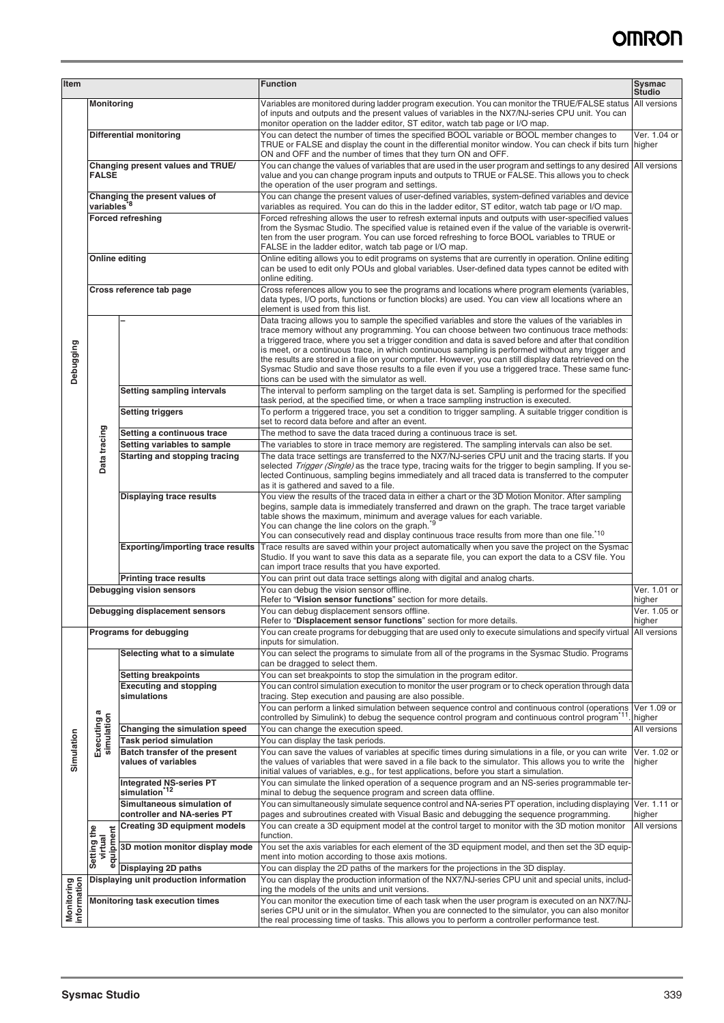| Item                             |                                        |                                                                | <b>Function</b>                                                                                                                                                                                                                                                                                                                                                                                                                                                                                                                                                                                                                                                                   | Sysmac<br><b>Studio</b> |
|----------------------------------|----------------------------------------|----------------------------------------------------------------|-----------------------------------------------------------------------------------------------------------------------------------------------------------------------------------------------------------------------------------------------------------------------------------------------------------------------------------------------------------------------------------------------------------------------------------------------------------------------------------------------------------------------------------------------------------------------------------------------------------------------------------------------------------------------------------|-------------------------|
|                                  | <b>Monitoring</b>                      |                                                                | Variables are monitored during ladder program execution. You can monitor the TRUE/FALSE status<br>of inputs and outputs and the present values of variables in the NX7/NJ-series CPU unit. You can<br>monitor operation on the ladder editor, ST editor, watch tab page or I/O map.                                                                                                                                                                                                                                                                                                                                                                                               | All versions            |
|                                  | Differential monitoring                |                                                                | You can detect the number of times the specified BOOL variable or BOOL member changes to<br>TRUE or FALSE and display the count in the differential monitor window. You can check if bits turn higher<br>ON and OFF and the number of times that they turn ON and OFF.                                                                                                                                                                                                                                                                                                                                                                                                            | Ver. 1.04 or            |
|                                  | <b>FALSE</b>                           | Changing present values and TRUE/                              | You can change the values of variables that are used in the user program and settings to any desired<br>value and you can change program inputs and outputs to TRUE or FALSE. This allows you to check<br>the operation of the user program and settings.                                                                                                                                                                                                                                                                                                                                                                                                                         | All versions            |
|                                  | variables <sup>*8</sup>                | Changing the present values of                                 | You can change the present values of user-defined variables, system-defined variables and device<br>variables as required. You can do this in the ladder editor, ST editor, watch tab page or I/O map.                                                                                                                                                                                                                                                                                                                                                                                                                                                                            |                         |
|                                  | <b>Forced refreshing</b>               |                                                                | Forced refreshing allows the user to refresh external inputs and outputs with user-specified values<br>from the Sysmac Studio. The specified value is retained even if the value of the variable is overwrit-<br>ten from the user program. You can use forced refreshing to force BOOL variables to TRUE or<br>FALSE in the ladder editor, watch tab page or I/O map.                                                                                                                                                                                                                                                                                                            |                         |
|                                  | Online editing                         |                                                                | Online editing allows you to edit programs on systems that are currently in operation. Online editing<br>can be used to edit only POUs and global variables. User-defined data types cannot be edited with<br>online editing.                                                                                                                                                                                                                                                                                                                                                                                                                                                     |                         |
|                                  |                                        | Cross reference tab page                                       | Cross references allow you to see the programs and locations where program elements (variables,<br>data types, I/O ports, functions or function blocks) are used. You can view all locations where an<br>element is used from this list.                                                                                                                                                                                                                                                                                                                                                                                                                                          |                         |
| Debugging                        |                                        |                                                                | Data tracing allows you to sample the specified variables and store the values of the variables in<br>trace memory without any programming. You can choose between two continuous trace methods:<br>a triggered trace, where you set a trigger condition and data is saved before and after that condition<br>is meet, or a continuous trace, in which continuous sampling is performed without any trigger and<br>the results are stored in a file on your computer. However, you can still display data retrieved on the<br>Sysmac Studio and save those results to a file even if you use a triggered trace. These same func-<br>tions can be used with the simulator as well. |                         |
|                                  |                                        | <b>Setting sampling intervals</b>                              | The interval to perform sampling on the target data is set. Sampling is performed for the specified<br>task period, at the specified time, or when a trace sampling instruction is executed.                                                                                                                                                                                                                                                                                                                                                                                                                                                                                      |                         |
|                                  |                                        | <b>Setting triggers</b>                                        | To perform a triggered trace, you set a condition to trigger sampling. A suitable trigger condition is<br>set to record data before and after an event.                                                                                                                                                                                                                                                                                                                                                                                                                                                                                                                           |                         |
|                                  |                                        | Setting a continuous trace                                     | The method to save the data traced during a continuous trace is set.                                                                                                                                                                                                                                                                                                                                                                                                                                                                                                                                                                                                              |                         |
|                                  |                                        | Setting variables to sample                                    | The variables to store in trace memory are registered. The sampling intervals can also be set.                                                                                                                                                                                                                                                                                                                                                                                                                                                                                                                                                                                    |                         |
|                                  | Data tracing                           | <b>Starting and stopping tracing</b>                           | The data trace settings are transferred to the NX7/NJ-series CPU unit and the tracing starts. If you<br>selected Trigger (Single) as the trace type, tracing waits for the trigger to begin sampling. If you se-<br>lected Continuous, sampling begins immediately and all traced data is transferred to the computer<br>as it is gathered and saved to a file.                                                                                                                                                                                                                                                                                                                   |                         |
|                                  |                                        | <b>Displaying trace results</b>                                | You view the results of the traced data in either a chart or the 3D Motion Monitor. After sampling<br>begins, sample data is immediately transferred and drawn on the graph. The trace target variable<br>table shows the maximum, minimum and average values for each variable.<br>You can change the line colors on the graph. <sup>9</sup><br>You can consecutively read and display continuous trace results from more than one file. <sup>10</sup>                                                                                                                                                                                                                           |                         |
|                                  |                                        | <b>Exporting/importing trace results</b>                       | Trace results are saved within your project automatically when you save the project on the Sysmac<br>Studio. If you want to save this data as a separate file, you can export the data to a CSV file. You<br>can import trace results that you have exported.                                                                                                                                                                                                                                                                                                                                                                                                                     |                         |
|                                  |                                        | <b>Printing trace results</b>                                  | You can print out data trace settings along with digital and analog charts.                                                                                                                                                                                                                                                                                                                                                                                                                                                                                                                                                                                                       |                         |
|                                  |                                        | Debugging vision sensors                                       | You can debug the vision sensor offline.<br>Refer to "Vision sensor functions" section for more details.                                                                                                                                                                                                                                                                                                                                                                                                                                                                                                                                                                          | Ver. 1.01 or<br>higher  |
|                                  |                                        | Debugging displacement sensors                                 | You can debug displacement sensors offline.<br>Refer to "Displacement sensor functions" section for more details.                                                                                                                                                                                                                                                                                                                                                                                                                                                                                                                                                                 | Ver. 1.05 or<br>higher  |
|                                  |                                        | Programs for debugging                                         | You can create programs for debugging that are used only to execute simulations and specify virtual<br>inputs for simulation.                                                                                                                                                                                                                                                                                                                                                                                                                                                                                                                                                     | All versions            |
|                                  |                                        | Selecting what to a simulate                                   | You can select the programs to simulate from all of the programs in the Sysmac Studio. Programs<br>can be dragged to select them.                                                                                                                                                                                                                                                                                                                                                                                                                                                                                                                                                 |                         |
|                                  |                                        | <b>Setting breakpoints</b>                                     | You can set breakpoints to stop the simulation in the program editor.                                                                                                                                                                                                                                                                                                                                                                                                                                                                                                                                                                                                             |                         |
|                                  |                                        | <b>Executing and stopping</b><br>simulations                   | You can control simulation execution to monitor the user program or to check operation through data<br>tracing. Step execution and pausing are also possible.<br>You can perform a linked simulation between sequence control and continuous control (operations                                                                                                                                                                                                                                                                                                                                                                                                                  | Ver 1.09 or             |
|                                  |                                        |                                                                | controlled by Simulink) to debug the sequence control program and continuous control program <sup>"11</sup>                                                                                                                                                                                                                                                                                                                                                                                                                                                                                                                                                                       | higher                  |
|                                  | Executing a<br>simulation              | Changing the simulation speed<br><b>Task period simulation</b> | You can change the execution speed.<br>You can display the task periods.                                                                                                                                                                                                                                                                                                                                                                                                                                                                                                                                                                                                          | All versions            |
| Simulation                       |                                        | Batch transfer of the present<br>values of variables           | You can save the values of variables at specific times during simulations in a file, or you can write<br>the values of variables that were saved in a file back to the simulator. This allows you to write the<br>initial values of variables, e.g., for test applications, before you start a simulation.                                                                                                                                                                                                                                                                                                                                                                        | Ver. 1.02 or<br>higher  |
|                                  |                                        | <b>Integrated NS-series PT</b><br>simulation <sup>*12</sup>    | You can simulate the linked operation of a sequence program and an NS-series programmable ter-<br>minal to debug the sequence program and screen data offline.                                                                                                                                                                                                                                                                                                                                                                                                                                                                                                                    |                         |
|                                  |                                        | Simultaneous simulation of<br>controller and NA-series PT      | You can simultaneously simulate sequence control and NA-series PT operation, including displaying                                                                                                                                                                                                                                                                                                                                                                                                                                                                                                                                                                                 | Ver. 1.11 or<br>higher  |
|                                  |                                        | <b>Creating 3D equipment models</b>                            | pages and subroutines created with Visual Basic and debugging the sequence programming.<br>You can create a 3D equipment model at the control target to monitor with the 3D motion monitor<br>function.                                                                                                                                                                                                                                                                                                                                                                                                                                                                           | All versions            |
|                                  | Setting the<br>equipment<br>virtual    | 3D motion monitor display mode                                 | You set the axis variables for each element of the 3D equipment model, and then set the 3D equip-<br>ment into motion according to those axis motions.                                                                                                                                                                                                                                                                                                                                                                                                                                                                                                                            |                         |
|                                  |                                        | Displaying 2D paths                                            | You can display the 2D paths of the markers for the projections in the 3D display.                                                                                                                                                                                                                                                                                                                                                                                                                                                                                                                                                                                                |                         |
|                                  |                                        | Displaying unit production information                         | You can display the production information of the NX7/NJ-series CPU unit and special units, includ-<br>ing the models of the units and unit versions.                                                                                                                                                                                                                                                                                                                                                                                                                                                                                                                             |                         |
| <b>Monitoring</b><br>information | <b>Monitoring task execution times</b> |                                                                | You can monitor the execution time of each task when the user program is executed on an NX7/NJ-<br>series CPU unit or in the simulator. When you are connected to the simulator, you can also monitor<br>the real processing time of tasks. This allows you to perform a controller performance test.                                                                                                                                                                                                                                                                                                                                                                             |                         |
|                                  | <b>Sysmac Studio</b>                   |                                                                |                                                                                                                                                                                                                                                                                                                                                                                                                                                                                                                                                                                                                                                                                   | 339                     |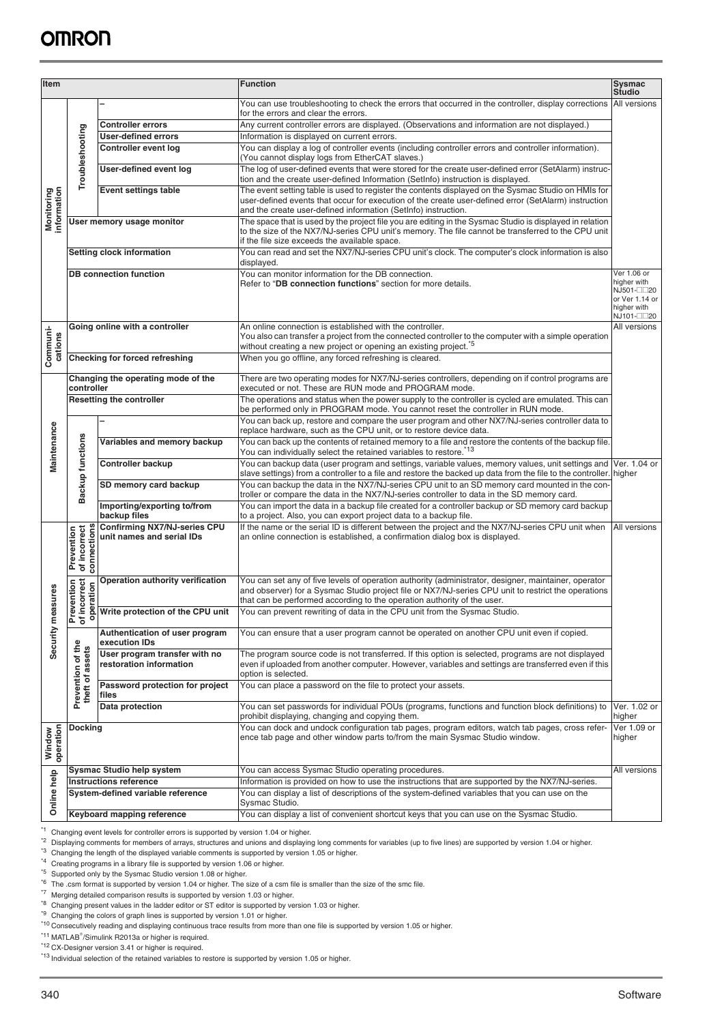| <b>Item</b>                                                                                                                                                                                                                                                                                                                                                                                                                                                                                                                                                                                                                                                                                                                                                                                                                                                                                                                                                                                                                                                                                                                                                                                                                                                                                                                                                                           |                                           |                                                                    | <b>Function</b>                                                                                                                                                                                                                                                                        | Sysmac<br><b>Studio</b>                                                                 |
|---------------------------------------------------------------------------------------------------------------------------------------------------------------------------------------------------------------------------------------------------------------------------------------------------------------------------------------------------------------------------------------------------------------------------------------------------------------------------------------------------------------------------------------------------------------------------------------------------------------------------------------------------------------------------------------------------------------------------------------------------------------------------------------------------------------------------------------------------------------------------------------------------------------------------------------------------------------------------------------------------------------------------------------------------------------------------------------------------------------------------------------------------------------------------------------------------------------------------------------------------------------------------------------------------------------------------------------------------------------------------------------|-------------------------------------------|--------------------------------------------------------------------|----------------------------------------------------------------------------------------------------------------------------------------------------------------------------------------------------------------------------------------------------------------------------------------|-----------------------------------------------------------------------------------------|
|                                                                                                                                                                                                                                                                                                                                                                                                                                                                                                                                                                                                                                                                                                                                                                                                                                                                                                                                                                                                                                                                                                                                                                                                                                                                                                                                                                                       |                                           |                                                                    | You can use troubleshooting to check the errors that occurred in the controller, display corrections<br>for the errors and clear the errors.                                                                                                                                           | All versions                                                                            |
|                                                                                                                                                                                                                                                                                                                                                                                                                                                                                                                                                                                                                                                                                                                                                                                                                                                                                                                                                                                                                                                                                                                                                                                                                                                                                                                                                                                       |                                           | <b>Controller errors</b>                                           | Any current controller errors are displayed. (Observations and information are not displayed.)                                                                                                                                                                                         |                                                                                         |
|                                                                                                                                                                                                                                                                                                                                                                                                                                                                                                                                                                                                                                                                                                                                                                                                                                                                                                                                                                                                                                                                                                                                                                                                                                                                                                                                                                                       | Troubleshooting                           | User-defined errors                                                | Information is displayed on current errors.                                                                                                                                                                                                                                            |                                                                                         |
|                                                                                                                                                                                                                                                                                                                                                                                                                                                                                                                                                                                                                                                                                                                                                                                                                                                                                                                                                                                                                                                                                                                                                                                                                                                                                                                                                                                       |                                           | Controller event log                                               | You can display a log of controller events (including controller errors and controller information).<br>(You cannot display logs from EtherCAT slaves.)                                                                                                                                |                                                                                         |
|                                                                                                                                                                                                                                                                                                                                                                                                                                                                                                                                                                                                                                                                                                                                                                                                                                                                                                                                                                                                                                                                                                                                                                                                                                                                                                                                                                                       |                                           | User-defined event log                                             | The log of user-defined events that were stored for the create user-defined error (SetAlarm) instruc-<br>tion and the create user-defined Information (SetInfo) instruction is displayed.                                                                                              |                                                                                         |
| <b>Monitoring</b><br>information                                                                                                                                                                                                                                                                                                                                                                                                                                                                                                                                                                                                                                                                                                                                                                                                                                                                                                                                                                                                                                                                                                                                                                                                                                                                                                                                                      |                                           | <b>Event settings table</b>                                        | The event setting table is used to register the contents displayed on the Sysmac Studio on HMIs for<br>user-defined events that occur for execution of the create user-defined error (SetAlarm) instruction<br>and the create user-defined information (SetInfo) instruction.          |                                                                                         |
|                                                                                                                                                                                                                                                                                                                                                                                                                                                                                                                                                                                                                                                                                                                                                                                                                                                                                                                                                                                                                                                                                                                                                                                                                                                                                                                                                                                       |                                           | User memory usage monitor                                          | The space that is used by the project file you are editing in the Sysmac Studio is displayed in relation<br>to the size of the NX7/NJ-series CPU unit's memory. The file cannot be transferred to the CPU unit<br>if the file size exceeds the available space.                        |                                                                                         |
|                                                                                                                                                                                                                                                                                                                                                                                                                                                                                                                                                                                                                                                                                                                                                                                                                                                                                                                                                                                                                                                                                                                                                                                                                                                                                                                                                                                       |                                           | Setting clock information                                          | You can read and set the NX7/NJ-series CPU unit's clock. The computer's clock information is also<br>displayed.                                                                                                                                                                        |                                                                                         |
|                                                                                                                                                                                                                                                                                                                                                                                                                                                                                                                                                                                                                                                                                                                                                                                                                                                                                                                                                                                                                                                                                                                                                                                                                                                                                                                                                                                       |                                           | <b>DB</b> connection function                                      | You can monitor information for the DB connection.<br>Refer to "DB connection functions" section for more details.                                                                                                                                                                     | Ver 1.06 or<br>higher with<br>NJ501-□□20<br>or Ver 1.14 or<br>higher with<br>NJ101-□□20 |
| Communi-<br>cations                                                                                                                                                                                                                                                                                                                                                                                                                                                                                                                                                                                                                                                                                                                                                                                                                                                                                                                                                                                                                                                                                                                                                                                                                                                                                                                                                                   |                                           | Going online with a controller                                     | An online connection is established with the controller.<br>You also can transfer a project from the connected controller to the computer with a simple operation<br>without creating a new project or opening an existing project. <sup>*5</sup>                                      | All versions                                                                            |
|                                                                                                                                                                                                                                                                                                                                                                                                                                                                                                                                                                                                                                                                                                                                                                                                                                                                                                                                                                                                                                                                                                                                                                                                                                                                                                                                                                                       |                                           | Checking for forced refreshing                                     | When you go offline, any forced refreshing is cleared.                                                                                                                                                                                                                                 |                                                                                         |
|                                                                                                                                                                                                                                                                                                                                                                                                                                                                                                                                                                                                                                                                                                                                                                                                                                                                                                                                                                                                                                                                                                                                                                                                                                                                                                                                                                                       | controller                                | Changing the operating mode of the                                 | There are two operating modes for NX7/NJ-series controllers, depending on if control programs are<br>executed or not. These are RUN mode and PROGRAM mode.                                                                                                                             |                                                                                         |
|                                                                                                                                                                                                                                                                                                                                                                                                                                                                                                                                                                                                                                                                                                                                                                                                                                                                                                                                                                                                                                                                                                                                                                                                                                                                                                                                                                                       |                                           | <b>Resetting the controller</b>                                    | The operations and status when the power supply to the controller is cycled are emulated. This can<br>be performed only in PROGRAM mode. You cannot reset the controller in RUN mode.                                                                                                  |                                                                                         |
|                                                                                                                                                                                                                                                                                                                                                                                                                                                                                                                                                                                                                                                                                                                                                                                                                                                                                                                                                                                                                                                                                                                                                                                                                                                                                                                                                                                       |                                           |                                                                    | You can back up, restore and compare the user program and other NX7/NJ-series controller data to                                                                                                                                                                                       |                                                                                         |
|                                                                                                                                                                                                                                                                                                                                                                                                                                                                                                                                                                                                                                                                                                                                                                                                                                                                                                                                                                                                                                                                                                                                                                                                                                                                                                                                                                                       |                                           | Variables and memory backup                                        | replace hardware, such as the CPU unit, or to restore device data.<br>You can back up the contents of retained memory to a file and restore the contents of the backup file.                                                                                                           |                                                                                         |
| Maintenance                                                                                                                                                                                                                                                                                                                                                                                                                                                                                                                                                                                                                                                                                                                                                                                                                                                                                                                                                                                                                                                                                                                                                                                                                                                                                                                                                                           | <b>Backup functions</b>                   | <b>Controller backup</b>                                           | You can individually select the retained variables to restore. <sup>*13</sup><br>You can backup data (user program and settings, variable values, memory values, unit settings and                                                                                                     | Ver. 1.04 or                                                                            |
|                                                                                                                                                                                                                                                                                                                                                                                                                                                                                                                                                                                                                                                                                                                                                                                                                                                                                                                                                                                                                                                                                                                                                                                                                                                                                                                                                                                       |                                           | SD memory card backup                                              | slave settings) from a controller to a file and restore the backed up data from the file to the controller. higher<br>You can backup the data in the NX7/NJ-series CPU unit to an SD memory card mounted in the con-                                                                   |                                                                                         |
|                                                                                                                                                                                                                                                                                                                                                                                                                                                                                                                                                                                                                                                                                                                                                                                                                                                                                                                                                                                                                                                                                                                                                                                                                                                                                                                                                                                       |                                           | Importing/exporting to/from                                        | troller or compare the data in the NX7/NJ-series controller to data in the SD memory card.<br>You can import the data in a backup file created for a controller backup or SD memory card backup                                                                                        |                                                                                         |
|                                                                                                                                                                                                                                                                                                                                                                                                                                                                                                                                                                                                                                                                                                                                                                                                                                                                                                                                                                                                                                                                                                                                                                                                                                                                                                                                                                                       |                                           | backup files<br><b>Confirming NX7/NJ-series CPU</b>                | to a project. Also, you can export project data to a backup file.<br>If the name or the serial ID is different between the project and the NX7/NJ-series CPU unit when                                                                                                                 | <b>All</b> versions                                                                     |
|                                                                                                                                                                                                                                                                                                                                                                                                                                                                                                                                                                                                                                                                                                                                                                                                                                                                                                                                                                                                                                                                                                                                                                                                                                                                                                                                                                                       | Prevention<br>of incorrect<br>connections | unit names and serial IDs                                          | an online connection is established, a confirmation dialog box is displayed.                                                                                                                                                                                                           |                                                                                         |
| easures                                                                                                                                                                                                                                                                                                                                                                                                                                                                                                                                                                                                                                                                                                                                                                                                                                                                                                                                                                                                                                                                                                                                                                                                                                                                                                                                                                               | revention<br>fincorrect<br>peration       | Operation authority verification                                   | You can set any of five levels of operation authority (administrator, designer, maintainer, operator<br>and observer) for a Sysmac Studio project file or NX7/NJ-series CPU unit to restrict the operations<br>that can be performed according to the operation authority of the user. |                                                                                         |
|                                                                                                                                                                                                                                                                                                                                                                                                                                                                                                                                                                                                                                                                                                                                                                                                                                                                                                                                                                                                                                                                                                                                                                                                                                                                                                                                                                                       | ᅙᅙ                                        | Write protection of the CPU unit                                   | You can prevent rewriting of data in the CPU unit from the Sysmac Studio.                                                                                                                                                                                                              |                                                                                         |
| Security m                                                                                                                                                                                                                                                                                                                                                                                                                                                                                                                                                                                                                                                                                                                                                                                                                                                                                                                                                                                                                                                                                                                                                                                                                                                                                                                                                                            |                                           | Authentication of user program<br>execution IDs                    | You can ensure that a user program cannot be operated on another CPU unit even if copied.                                                                                                                                                                                              |                                                                                         |
|                                                                                                                                                                                                                                                                                                                                                                                                                                                                                                                                                                                                                                                                                                                                                                                                                                                                                                                                                                                                                                                                                                                                                                                                                                                                                                                                                                                       | Prevention of the<br>theft of assets      | User program transfer with no<br>restoration information           | The program source code is not transferred. If this option is selected, programs are not displayed<br>even if uploaded from another computer. However, variables and settings are transferred even if this<br>option is selected.                                                      |                                                                                         |
|                                                                                                                                                                                                                                                                                                                                                                                                                                                                                                                                                                                                                                                                                                                                                                                                                                                                                                                                                                                                                                                                                                                                                                                                                                                                                                                                                                                       |                                           | Password protection for project<br>files                           | You can place a password on the file to protect your assets.                                                                                                                                                                                                                           |                                                                                         |
|                                                                                                                                                                                                                                                                                                                                                                                                                                                                                                                                                                                                                                                                                                                                                                                                                                                                                                                                                                                                                                                                                                                                                                                                                                                                                                                                                                                       |                                           | Data protection                                                    | You can set passwords for individual POUs (programs, functions and function block definitions) to<br>prohibit displaying, changing and copying them.                                                                                                                                   | Ver. 1.02 or<br>higher                                                                  |
| operation<br>Window                                                                                                                                                                                                                                                                                                                                                                                                                                                                                                                                                                                                                                                                                                                                                                                                                                                                                                                                                                                                                                                                                                                                                                                                                                                                                                                                                                   | <b>Docking</b>                            |                                                                    | You can dock and undock configuration tab pages, program editors, watch tab pages, cross refer-<br>ence tab page and other window parts to/from the main Sysmac Studio window.                                                                                                         | Ver 1.09 or<br>higher                                                                   |
|                                                                                                                                                                                                                                                                                                                                                                                                                                                                                                                                                                                                                                                                                                                                                                                                                                                                                                                                                                                                                                                                                                                                                                                                                                                                                                                                                                                       |                                           | Sysmac Studio help system                                          | You can access Sysmac Studio operating procedures.                                                                                                                                                                                                                                     | All versions                                                                            |
| Online help                                                                                                                                                                                                                                                                                                                                                                                                                                                                                                                                                                                                                                                                                                                                                                                                                                                                                                                                                                                                                                                                                                                                                                                                                                                                                                                                                                           |                                           | <b>Instructions reference</b><br>System-defined variable reference | Information is provided on how to use the instructions that are supported by the NX7/NJ-series.<br>You can display a list of descriptions of the system-defined variables that you can use on the<br>Sysmac Studio.                                                                    |                                                                                         |
|                                                                                                                                                                                                                                                                                                                                                                                                                                                                                                                                                                                                                                                                                                                                                                                                                                                                                                                                                                                                                                                                                                                                                                                                                                                                                                                                                                                       |                                           | Keyboard mapping reference                                         | You can display a list of convenient shortcut keys that you can use on the Sysmac Studio.                                                                                                                                                                                              |                                                                                         |
| *1<br>Changing event levels for controller errors is supported by version 1.04 or higher.<br><sup>2</sup> Displaying comments for members of arrays, structures and unions and displaying long comments for variables (up to five lines) are supported by version 1.04 or higher.<br>*3<br>Changing the length of the displayed variable comments is supported by version 1.05 or higher.<br>*4 Creating programs in a library file is supported by version 1.06 or higher.<br>*5 Supported only by the Sysmac Studio version 1.08 or higher.<br><sup>*6</sup> The .csm format is supported by version 1.04 or higher. The size of a csm file is smaller than the size of the smc file.<br>*7 Merging detailed comparison results is supported by version 1.03 or higher.<br><sup>8</sup> Changing present values in the ladder editor or ST editor is supported by version 1.03 or higher.<br><sup>*9</sup> Changing the colors of graph lines is supported by version 1.01 or higher.<br><sup>*10</sup> Consecutively reading and displaying continuous trace results from more than one file is supported by version 1.05 or higher.<br>*11 MATLAB <sup>®</sup> /Simulink R2013a or higher is required.<br><sup>*12</sup> CX-Designer version 3.41 or higher is required.<br>*13 Individual selection of the retained variables to restore is supported by version 1.05 or higher. |                                           |                                                                    |                                                                                                                                                                                                                                                                                        |                                                                                         |
|                                                                                                                                                                                                                                                                                                                                                                                                                                                                                                                                                                                                                                                                                                                                                                                                                                                                                                                                                                                                                                                                                                                                                                                                                                                                                                                                                                                       |                                           |                                                                    |                                                                                                                                                                                                                                                                                        |                                                                                         |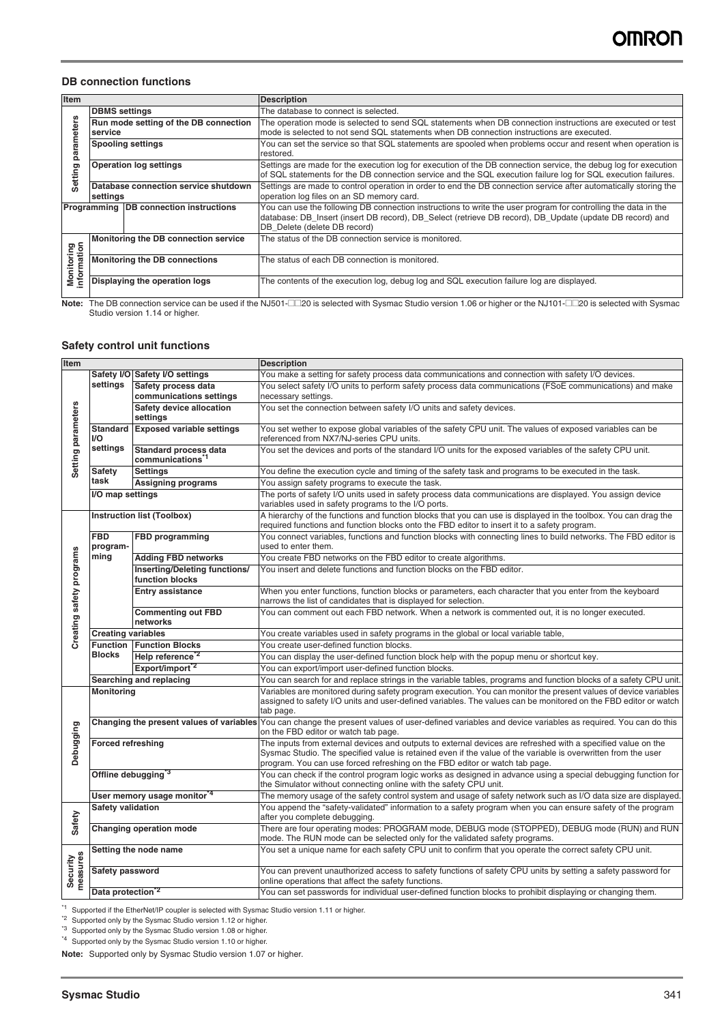#### **DB connection functions**

| Item                             |                                                  | <b>Description</b>                                                                                                                                                                                                                                         |
|----------------------------------|--------------------------------------------------|------------------------------------------------------------------------------------------------------------------------------------------------------------------------------------------------------------------------------------------------------------|
|                                  | <b>DBMS</b> settings                             | The database to connect is selected.                                                                                                                                                                                                                       |
| rameters                         | Run mode setting of the DB connection<br>service | The operation mode is selected to send SQL statements when DB connection instructions are executed or test<br>mode is selected to not send SQL statements when DB connection instructions are executed.                                                    |
| g                                | <b>Spooling settings</b>                         | You can set the service so that SQL statements are spooled when problems occur and resent when operation is<br>restored.                                                                                                                                   |
| Setting                          | <b>Operation log settings</b>                    | Settings are made for the execution log for execution of the DB connection service, the debug log for execution<br>of SQL statements for the DB connection service and the SQL execution failure log for SQL execution failures.                           |
|                                  | Database connection service shutdown<br>settings | Settings are made to control operation in order to end the DB connection service after automatically storing the<br>operation log files on an SD memory card.                                                                                              |
|                                  | Programming DB connection instructions           | You can use the following DB connection instructions to write the user program for controlling the data in the<br>database: DB_Insert (insert DB record), DB_Select (retrieve DB record), DB_Update (update DB record) and<br>DB Delete (delete DB record) |
|                                  | Monitoring the DB connection service             | The status of the DB connection service is monitored.                                                                                                                                                                                                      |
| <b>Monitoring</b><br>information | <b>Monitoring the DB connections</b>             | The status of each DB connection is monitored.                                                                                                                                                                                                             |
|                                  | Displaying the operation logs                    | The contents of the execution log, debug log and SQL execution failure log are displayed.                                                                                                                                                                  |

**Note:** The DB connection service can be used if the NJ501-□□20 is selected with Sysmac Studio version 1.06 or higher or the NJ101-□□20 is selected with Sysmac<br>Studio version 1.14 or higher.

### **Safety control unit functions**

| Item                     |                                |                                                              | <b>Description</b>                                                                                                                                                                                                                                                                                           |
|--------------------------|--------------------------------|--------------------------------------------------------------|--------------------------------------------------------------------------------------------------------------------------------------------------------------------------------------------------------------------------------------------------------------------------------------------------------------|
|                          | Safety I/O                     | <b>Safety I/O settings</b>                                   | You make a setting for safety process data communications and connection with safety I/O devices.                                                                                                                                                                                                            |
|                          | settings                       | Safety process data<br>communications settings               | You select safety I/O units to perform safety process data communications (FSoE communications) and make<br>necessary settings.                                                                                                                                                                              |
|                          |                                | Safety device allocation<br>settings                         | You set the connection between safety I/O units and safety devices.                                                                                                                                                                                                                                          |
|                          | Standard<br>I/O                | <b>Exposed variable settings</b>                             | You set wether to expose global variables of the safety CPU unit. The values of exposed variables can be<br>referenced from NX7/NJ-series CPU units.                                                                                                                                                         |
| Setting parameters       | settings                       | <b>Standard process data</b><br>communications <sup>*1</sup> | You set the devices and ports of the standard I/O units for the exposed variables of the safety CPU unit.                                                                                                                                                                                                    |
|                          | <b>Safety</b>                  | <b>Settings</b>                                              | You define the execution cycle and timing of the safety task and programs to be executed in the task.                                                                                                                                                                                                        |
|                          | task                           | <b>Assigning programs</b>                                    | You assign safety programs to execute the task.                                                                                                                                                                                                                                                              |
|                          | I/O map settings               |                                                              | The ports of safety I/O units used in safety process data communications are displayed. You assign device<br>variables used in safety programs to the I/O ports.                                                                                                                                             |
|                          |                                | Instruction list (Toolbox)                                   | A hierarchy of the functions and function blocks that you can use is displayed in the toolbox. You can drag the<br>required functions and function blocks onto the FBD editor to insert it to a safety program.                                                                                              |
|                          | $\overline{FBD}$<br>program-   | <b>FBD</b> programming                                       | You connect variables, functions and function blocks with connecting lines to build networks. The FBD editor is<br>used to enter them.                                                                                                                                                                       |
|                          | ming                           | <b>Adding FBD networks</b>                                   | You create FBD networks on the FBD editor to create algorithms.                                                                                                                                                                                                                                              |
|                          |                                | Inserting/Deleting functions/<br>function blocks             | You insert and delete functions and function blocks on the FBD editor.                                                                                                                                                                                                                                       |
|                          |                                | <b>Entry assistance</b>                                      | When you enter functions, function blocks or parameters, each character that you enter from the keyboard<br>narrows the list of candidates that is displayed for selection.                                                                                                                                  |
| Creating safety programs |                                | <b>Commenting out FBD</b><br>networks                        | You can comment out each FBD network. When a network is commented out, it is no longer executed.                                                                                                                                                                                                             |
|                          | <b>Creating variables</b>      |                                                              | You create variables used in safety programs in the global or local variable table,                                                                                                                                                                                                                          |
|                          | <b>Function</b>                | <b>Function Blocks</b>                                       | You create user-defined function blocks.                                                                                                                                                                                                                                                                     |
|                          | <b>Blocks</b>                  | Help reference <sup>2</sup>                                  | You can display the user-defined function block help with the popup menu or shortcut key.                                                                                                                                                                                                                    |
|                          |                                | Export/import <sup>2</sup>                                   | You can export/import user-defined function blocks.                                                                                                                                                                                                                                                          |
|                          |                                | Searching and replacing                                      | You can search for and replace strings in the variable tables, programs and function blocks of a safety CPU unit.                                                                                                                                                                                            |
|                          | Monitoring                     |                                                              | Variables are monitored during safety program execution. You can monitor the present values of device variables<br>assigned to safety I/O units and user-defined variables. The values can be monitored on the FBD editor or watch<br>tab page.                                                              |
|                          |                                |                                                              | Changing the present values of variables You can change the present values of user-defined variables and device variables as required. You can do this<br>on the FBD editor or watch tab page.                                                                                                               |
| Debugging                | <b>Forced refreshing</b>       |                                                              | The inputs from external devices and outputs to external devices are refreshed with a specified value on the<br>Sysmac Studio. The specified value is retained even if the value of the variable is overwritten from the user<br>program. You can use forced refreshing on the FBD editor or watch tab page. |
|                          | Offline debugging <sup>3</sup> |                                                              | You can check if the control program logic works as designed in advance using a special debugging function for<br>the Simulator without connecting online with the safety CPU unit.                                                                                                                          |
|                          |                                | User memory usage monitor <sup>4</sup>                       | The memory usage of the safety control system and usage of safety network such as I/O data size are displayed                                                                                                                                                                                                |
| Safety                   | Safety validation              |                                                              | You append the "safety-validated" information to a safety program when you can ensure safety of the program<br>after you complete debugging.                                                                                                                                                                 |
|                          |                                | <b>Changing operation mode</b>                               | There are four operating modes: PROGRAM mode, DEBUG mode (STOPPED), DEBUG mode (RUN) and RUN<br>mode. The RUN mode can be selected only for the validated safety programs.                                                                                                                                   |
|                          |                                | Setting the node name                                        | You set a unique name for each safety CPU unit to confirm that you operate the correct safety CPU unit.                                                                                                                                                                                                      |
| neasures<br>Security     | Safety password                |                                                              | You can prevent unauthorized access to safety functions of safety CPU units by setting a safety password for<br>online operations that affect the safety functions.                                                                                                                                          |
|                          | Data protection <sup>*2</sup>  |                                                              | You can set passwords for individual user-defined function blocks to prohibit displaying or changing them.                                                                                                                                                                                                   |

<sup>\*1</sup> Supported if the EtherNet/IP coupler is selected with Sysmac Studio version 1.11 or higher.

\*<sup>2</sup> Supported only by the Sysmac Studio version 1.12 or higher.

\*<sup>3</sup> Supported only by the Sysmac Studio version 1.08 or higher.

\*4 Supported only by the Sysmac Studio version 1.10 or higher.

**Note:** Supported only by Sysmac Studio version 1.07 or higher.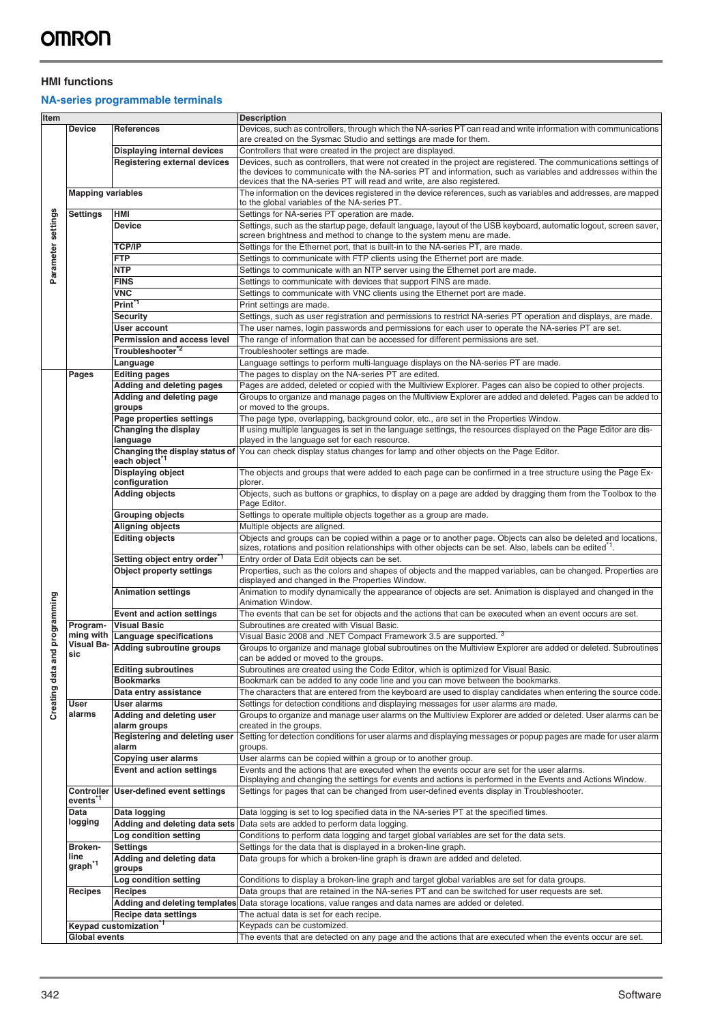### **HMI functions**

## **NA-series programmable terminals**

| Item               |                          |                                               | <b>Description</b>                                                                                                                                                |
|--------------------|--------------------------|-----------------------------------------------|-------------------------------------------------------------------------------------------------------------------------------------------------------------------|
|                    | <b>Device</b>            | <b>References</b>                             | Devices, such as controllers, through which the NA-series PT can read and write information with communications                                                   |
|                    |                          |                                               | are created on the Sysmac Studio and settings are made for them.                                                                                                  |
|                    |                          | <b>Displaying internal devices</b>            | Controllers that were created in the project are displayed.                                                                                                       |
|                    |                          | <b>Registering external devices</b>           | Devices, such as controllers, that were not created in the project are registered. The communications settings of                                                 |
|                    |                          |                                               | the devices to communicate with the NA-series PT and information, such as variables and addresses within the                                                      |
|                    |                          |                                               | devices that the NA-series PT will read and write, are also registered.                                                                                           |
|                    | <b>Mapping variables</b> |                                               | The information on the devices registered in the device references, such as variables and addresses, are mapped                                                   |
|                    |                          |                                               | to the global variables of the NA-series PT.                                                                                                                      |
| Parameter settings | Settings                 | HMI                                           | Settings for NA-series PT operation are made.                                                                                                                     |
|                    |                          | <b>Device</b>                                 | Settings, such as the startup page, default language, layout of the USB keyboard, automatic logout, screen saver,                                                 |
|                    |                          |                                               | screen brightness and method to change to the system menu are made.                                                                                               |
|                    |                          | <b>TCP/IP</b>                                 | Settings for the Ethernet port, that is built-in to the NA-series PT, are made.                                                                                   |
|                    |                          | <b>FTP</b>                                    | Settings to communicate with FTP clients using the Ethernet port are made.                                                                                        |
|                    |                          | <b>NTP</b>                                    | Settings to communicate with an NTP server using the Ethernet port are made.                                                                                      |
|                    |                          | <b>FINS</b>                                   | Settings to communicate with devices that support FINS are made.                                                                                                  |
|                    |                          | <b>VNC</b>                                    | Settings to communicate with VNC clients using the Ethernet port are made.                                                                                        |
|                    |                          | Print <sup>*1</sup>                           | Print settings are made.                                                                                                                                          |
|                    |                          | <b>Security</b>                               | Settings, such as user registration and permissions to restrict NA-series PT operation and displays, are made.                                                    |
|                    |                          | <b>User account</b>                           | The user names, login passwords and permissions for each user to operate the NA-series PT are set.                                                                |
|                    |                          | <b>Permission and access level</b>            | The range of information that can be accessed for different permissions are set.                                                                                  |
|                    |                          | Troubleshooter <sup>*2</sup>                  | Troubleshooter settings are made.                                                                                                                                 |
|                    |                          | Language                                      | Language settings to perform multi-language displays on the NA-series PT are made.                                                                                |
|                    | Pages                    | <b>Editing pages</b>                          | The pages to display on the NA-series PT are edited.                                                                                                              |
|                    |                          | Adding and deleting pages                     | Pages are added, deleted or copied with the Multiview Explorer. Pages can also be copied to other projects.                                                       |
|                    |                          |                                               | Groups to organize and manage pages on the Multiview Explorer are added and deleted. Pages can be added to                                                        |
|                    |                          | Adding and deleting page<br>groups            | or moved to the groups.                                                                                                                                           |
|                    |                          | Page properties settings                      | The page type, overlapping, background color, etc., are set in the Properties Window.                                                                             |
|                    |                          |                                               |                                                                                                                                                                   |
|                    |                          | Changing the display<br>language              | If using multiple languages is set in the language settings, the resources displayed on the Page Editor are dis-<br>played in the language set for each resource. |
|                    |                          |                                               | Changing the display status of You can check display status changes for lamp and other objects on the Page Editor.                                                |
|                    |                          | each object <sup>1</sup>                      |                                                                                                                                                                   |
|                    |                          | <b>Displaying object</b>                      | The objects and groups that were added to each page can be confirmed in a tree structure using the Page Ex-                                                       |
|                    |                          | configuration                                 | plorer.                                                                                                                                                           |
|                    |                          | <b>Adding objects</b>                         | Objects, such as buttons or graphics, to display on a page are added by dragging them from the Toolbox to the                                                     |
|                    |                          |                                               | Page Editor.                                                                                                                                                      |
|                    |                          | <b>Grouping objects</b>                       | Settings to operate multiple objects together as a group are made.                                                                                                |
|                    |                          | <b>Aligning objects</b>                       | Multiple objects are aligned.                                                                                                                                     |
|                    |                          | <b>Editing objects</b>                        | Objects and groups can be copied within a page or to another page. Objects can also be deleted and locations,                                                     |
|                    |                          |                                               | sizes, rotations and position relationships with other objects can be set. Also, labels can be edited <sup>"1</sup> .                                             |
|                    |                          | Setting object entry order 1                  | Entry order of Data Edit objects can be set.                                                                                                                      |
|                    |                          | <b>Object property settings</b>               | Properties, such as the colors and shapes of objects and the mapped variables, can be changed. Properties are                                                     |
|                    |                          |                                               | displayed and changed in the Properties Window.                                                                                                                   |
|                    |                          | <b>Animation settings</b>                     | Animation to modify dynamically the appearance of objects are set. Animation is displayed and changed in the                                                      |
| programming        |                          |                                               | Animation Window.                                                                                                                                                 |
|                    |                          | <b>Event and action settings</b>              | The events that can be set for objects and the actions that can be executed when an event occurs are set.                                                         |
|                    | Program-                 | <b>Visual Basic</b>                           | Subroutines are created with Visual Basic.                                                                                                                        |
|                    | ming with                | <b>Language specifications</b>                | Visual Basic 2008 and .NET Compact Framework 3.5 are supported. <sup>3</sup>                                                                                      |
|                    | <b>Visual Ba-</b>        | Adding subroutine groups                      | Groups to organize and manage global subroutines on the Multiview Explorer are added or deleted. Subroutines                                                      |
| P                  | sic                      |                                               | can be added or moved to the groups.                                                                                                                              |
| g                  |                          | <b>Editing subroutines</b>                    | Subroutines are created using the Code Editor, which is optimized for Visual Basic.                                                                               |
|                    |                          | <b>Bookmarks</b>                              | Bookmark can be added to any code line and you can move between the bookmarks.                                                                                    |
|                    |                          | Data entry assistance                         | The characters that are entered from the keyboard are used to display candidates when entering the source code.                                                   |
| Creating data      | User                     | User alarms                                   | Settings for detection conditions and displaying messages for user alarms are made.                                                                               |
|                    | alarms                   | Adding and deleting user                      | Groups to organize and manage user alarms on the Multiview Explorer are added or deleted. User alarms can be                                                      |
|                    |                          | alarm groups                                  | created in the groups.                                                                                                                                            |
|                    |                          | Registering and deleting user                 | Setting for detection conditions for user alarms and displaying messages or popup pages are made for user alarm                                                   |
|                    |                          | alarm                                         | groups.                                                                                                                                                           |
|                    |                          | <b>Copying user alarms</b>                    | User alarms can be copied within a group or to another group.                                                                                                     |
|                    |                          | <b>Event and action settings</b>              | Events and the actions that are executed when the events occur are set for the user alarms.                                                                       |
|                    |                          |                                               | Displaying and changing the settings for events and actions is performed in the Events and Actions Window.                                                        |
|                    |                          | <b>Controller User-defined event settings</b> | Settings for pages that can be changed from user-defined events display in Troubleshooter.                                                                        |
|                    | events <sup>1</sup>      |                                               |                                                                                                                                                                   |
|                    | Data                     | Data logging                                  | Data logging is set to log specified data in the NA-series PT at the specified times.                                                                             |
|                    | logging                  | Adding and deleting data sets                 | Data sets are added to perform data logging.                                                                                                                      |
|                    |                          | Log condition setting                         | Conditions to perform data logging and target global variables are set for the data sets.                                                                         |
|                    | Broken-                  | <b>Settings</b>                               | Settings for the data that is displayed in a broken-line graph.                                                                                                   |
|                    | line                     | Adding and deleting data                      | Data groups for which a broken-line graph is drawn are added and deleted.                                                                                         |
|                    | graph <sup>*1</sup>      | groups                                        |                                                                                                                                                                   |
|                    |                          | Log condition setting                         | Conditions to display a broken-line graph and target global variables are set for data groups.                                                                    |
|                    | <b>Recipes</b>           | <b>Recipes</b>                                | Data groups that are retained in the NA-series PT and can be switched for user requests are set.                                                                  |
|                    |                          | Adding and deleting templates                 | Data storage locations, value ranges and data names are added or deleted.                                                                                         |
|                    |                          |                                               |                                                                                                                                                                   |
|                    |                          | Recipe data settings                          | The actual data is set for each recipe.                                                                                                                           |
|                    |                          | Keypad customization <sup>1</sup>             | Keypads can be customized.                                                                                                                                        |
|                    | Global events            |                                               | The events that are detected on any page and the actions that are executed when the events occur are set.                                                         |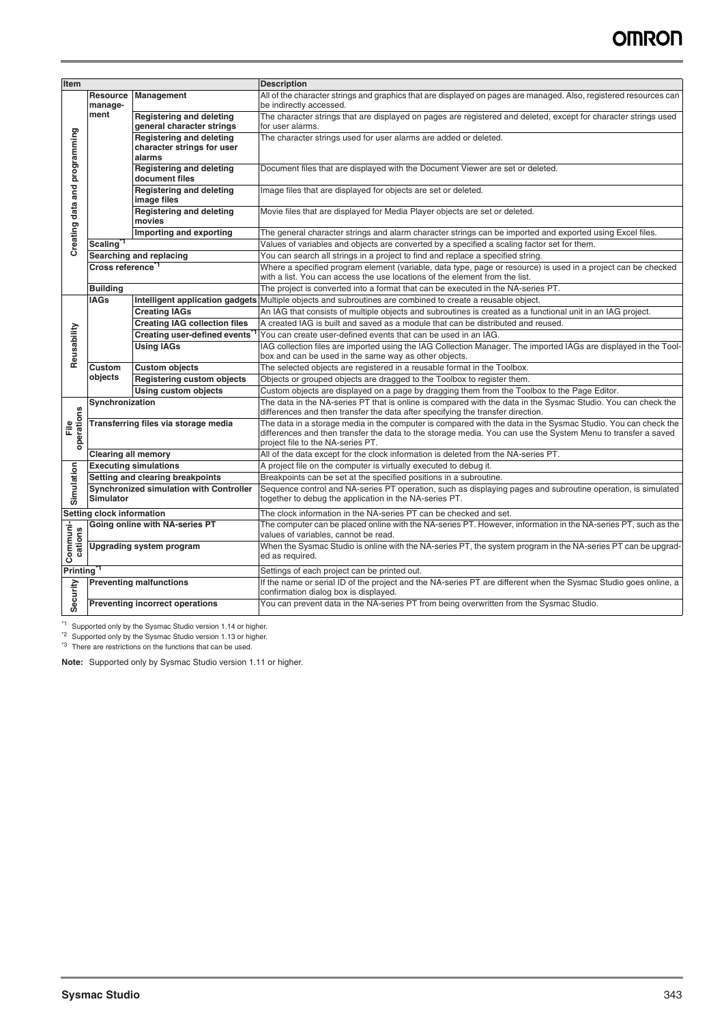| Item                          |                                      |                                                                                                                                                                                                                                                                                    | <b>Description</b>                                                                                                                                                                                                                                                 |
|-------------------------------|--------------------------------------|------------------------------------------------------------------------------------------------------------------------------------------------------------------------------------------------------------------------------------------------------------------------------------|--------------------------------------------------------------------------------------------------------------------------------------------------------------------------------------------------------------------------------------------------------------------|
|                               | <b>Resource</b><br>manage-           | Management                                                                                                                                                                                                                                                                         | All of the character strings and graphics that are displayed on pages are managed. Also, registered resources can<br>be indirectly accessed.                                                                                                                       |
| Creating data and programming | ment                                 | <b>Registering and deleting</b><br>general character strings                                                                                                                                                                                                                       | The character strings that are displayed on pages are registered and deleted, except for character strings used<br>for user alarms.                                                                                                                                |
|                               |                                      | <b>Registering and deleting</b><br>character strings for user<br>alarms                                                                                                                                                                                                            | The character strings used for user alarms are added or deleted.                                                                                                                                                                                                   |
|                               |                                      | <b>Registering and deleting</b><br>document files                                                                                                                                                                                                                                  | Document files that are displayed with the Document Viewer are set or deleted.                                                                                                                                                                                     |
|                               |                                      | <b>Registering and deleting</b><br>image files                                                                                                                                                                                                                                     | Image files that are displayed for objects are set or deleted.                                                                                                                                                                                                     |
|                               |                                      | <b>Registering and deleting</b><br>movies                                                                                                                                                                                                                                          | Movie files that are displayed for Media Player objects are set or deleted.                                                                                                                                                                                        |
|                               |                                      | Importing and exporting                                                                                                                                                                                                                                                            | The general character strings and alarm character strings can be imported and exported using Excel files.                                                                                                                                                          |
|                               | <b>Scaling</b>                       |                                                                                                                                                                                                                                                                                    | Values of variables and objects are converted by a specified a scaling factor set for them.                                                                                                                                                                        |
|                               |                                      | Searching and replacing                                                                                                                                                                                                                                                            | You can search all strings in a project to find and replace a specified string.                                                                                                                                                                                    |
|                               | Cross reference"                     |                                                                                                                                                                                                                                                                                    | Where a specified program element (variable, data type, page or resource) is used in a project can be checked<br>with a list. You can access the use locations of the element from the list.                                                                       |
|                               | <b>Building</b>                      |                                                                                                                                                                                                                                                                                    | The project is converted into a format that can be executed in the NA-series PT.                                                                                                                                                                                   |
|                               | <b>IAGs</b>                          | Intelligent application gadgets                                                                                                                                                                                                                                                    | Multiple objects and subroutines are combined to create a reusable object.                                                                                                                                                                                         |
|                               |                                      | <b>Creating IAGs</b>                                                                                                                                                                                                                                                               | An IAG that consists of multiple objects and subroutines is created as a functional unit in an IAG project.                                                                                                                                                        |
|                               |                                      | <b>Creating IAG collection files</b>                                                                                                                                                                                                                                               | A created IAG is built and saved as a module that can be distributed and reused.                                                                                                                                                                                   |
|                               |                                      | Creating user-defined events                                                                                                                                                                                                                                                       | You can create user-defined events that can be used in an IAG.                                                                                                                                                                                                     |
| Reusability                   |                                      | <b>Using IAGs</b>                                                                                                                                                                                                                                                                  | IAG collection files are imported using the IAG Collection Manager. The imported IAGs are displayed in the Tool-                                                                                                                                                   |
|                               |                                      |                                                                                                                                                                                                                                                                                    | box and can be used in the same way as other objects.                                                                                                                                                                                                              |
|                               | Custom                               | <b>Custom objects</b>                                                                                                                                                                                                                                                              | The selected objects are registered in a reusable format in the Toolbox.                                                                                                                                                                                           |
|                               | objects                              | Registering custom objects                                                                                                                                                                                                                                                         | Objects or grouped objects are dragged to the Toolbox to register them.                                                                                                                                                                                            |
|                               |                                      | <b>Using custom objects</b>                                                                                                                                                                                                                                                        | Custom objects are displayed on a page by dragging them from the Toolbox to the Page Editor.                                                                                                                                                                       |
|                               | Synchronization                      |                                                                                                                                                                                                                                                                                    | The data in the NA-series PT that is online is compared with the data in the Sysmac Studio. You can check the<br>differences and then transfer the data after specifying the transfer direction.                                                                   |
| operations<br>$\frac{e}{L}$   | Transferring files via storage media |                                                                                                                                                                                                                                                                                    | The data in a storage media in the computer is compared with the data in the Sysmac Studio. You can check the<br>differences and then transfer the data to the storage media. You can use the System Menu to transfer a saved<br>project file to the NA-series PT. |
|                               | <b>Clearing all memory</b>           |                                                                                                                                                                                                                                                                                    | All of the data except for the clock information is deleted from the NA-series PT.                                                                                                                                                                                 |
|                               |                                      | <b>Executing simulations</b>                                                                                                                                                                                                                                                       | A project file on the computer is virtually executed to debug it.                                                                                                                                                                                                  |
|                               |                                      | Setting and clearing breakpoints                                                                                                                                                                                                                                                   | Breakpoints can be set at the specified positions in a subroutine.                                                                                                                                                                                                 |
| Simulation                    | <b>Simulator</b>                     | Synchronized simulation with Controller                                                                                                                                                                                                                                            | Sequence control and NA-series PT operation, such as displaying pages and subroutine operation, is simulated<br>together to debug the application in the NA-series PT.                                                                                             |
|                               | Setting clock information            |                                                                                                                                                                                                                                                                                    | The clock information in the NA-series PT can be checked and set.                                                                                                                                                                                                  |
|                               |                                      | Going online with NA-series PT                                                                                                                                                                                                                                                     | The computer can be placed online with the NA-series PT. However, information in the NA-series PT, such as the<br>values of variables, cannot be read.                                                                                                             |
| Communi-<br>cations           |                                      | <b>Upgrading system program</b>                                                                                                                                                                                                                                                    | When the Sysmac Studio is online with the NA-series PT, the system program in the NA-series PT can be upgrad-<br>ed as required.                                                                                                                                   |
| <b>Printing</b>               |                                      |                                                                                                                                                                                                                                                                                    | Settings of each project can be printed out.                                                                                                                                                                                                                       |
| Security                      |                                      | <b>Preventing malfunctions</b>                                                                                                                                                                                                                                                     | If the name or serial ID of the project and the NA-series PT are different when the Sysmac Studio goes online, a<br>confirmation dialog box is displayed.                                                                                                          |
|                               |                                      | <b>Preventing incorrect operations</b>                                                                                                                                                                                                                                             | You can prevent data in the NA-series PT from being overwritten from the Sysmac Studio.                                                                                                                                                                            |
|                               |                                      | Supported only by the Sysmac Studio version 1.14 or higher.<br><sup>2</sup> Supported only by the Sysmac Studio version 1.13 or higher.<br><sup>3</sup> There are restrictions on the functions that can be used.<br>Note: Supported only by Sysmac Studio version 1.11 or higher. |                                                                                                                                                                                                                                                                    |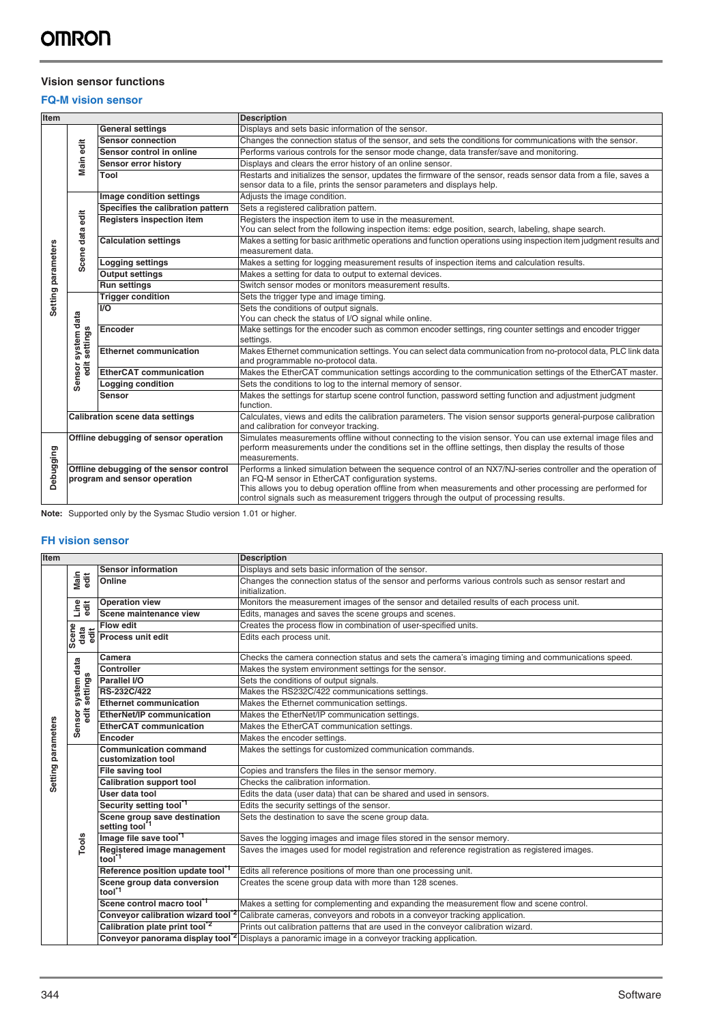# **Vision sensor functions**

# **FQ-M vision sensor**

| Item               |                                                                         |                                   | <b>Description</b>                                                                                                                                                                                                                                                                                                                                                       |
|--------------------|-------------------------------------------------------------------------|-----------------------------------|--------------------------------------------------------------------------------------------------------------------------------------------------------------------------------------------------------------------------------------------------------------------------------------------------------------------------------------------------------------------------|
|                    |                                                                         | <b>General settings</b>           | Displays and sets basic information of the sensor.                                                                                                                                                                                                                                                                                                                       |
|                    |                                                                         | <b>Sensor connection</b>          | Changes the connection status of the sensor, and sets the conditions for communications with the sensor.                                                                                                                                                                                                                                                                 |
|                    | Main edit                                                               | Sensor control in online          | Performs various controls for the sensor mode change, data transfer/save and monitoring.                                                                                                                                                                                                                                                                                 |
|                    |                                                                         | Sensor error history              | Displays and clears the error history of an online sensor.                                                                                                                                                                                                                                                                                                               |
|                    |                                                                         | Tool                              | Restarts and initializes the sensor, updates the firmware of the sensor, reads sensor data from a file, saves a<br>sensor data to a file, prints the sensor parameters and displays help.                                                                                                                                                                                |
|                    |                                                                         | Image condition settings          | Adjusts the image condition.                                                                                                                                                                                                                                                                                                                                             |
|                    |                                                                         | Specifies the calibration pattern | Sets a registered calibration pattern.                                                                                                                                                                                                                                                                                                                                   |
|                    | edit                                                                    | <b>Registers inspection item</b>  | Registers the inspection item to use in the measurement.<br>You can select from the following inspection items: edge position, search, labeling, shape search.                                                                                                                                                                                                           |
| Setting parameters | data<br>cene                                                            | <b>Calculation settings</b>       | Makes a setting for basic arithmetic operations and function operations using inspection item judgment results and<br>measurement data.                                                                                                                                                                                                                                  |
|                    |                                                                         | <b>Logging settings</b>           | Makes a setting for logging measurement results of inspection items and calculation results.                                                                                                                                                                                                                                                                             |
|                    | Ō                                                                       | <b>Output settings</b>            | Makes a setting for data to output to external devices.                                                                                                                                                                                                                                                                                                                  |
|                    |                                                                         | <b>Run settings</b>               | Switch sensor modes or monitors measurement results.                                                                                                                                                                                                                                                                                                                     |
|                    |                                                                         | <b>Trigger condition</b>          | Sets the trigger type and image timing.                                                                                                                                                                                                                                                                                                                                  |
|                    | system data<br>settings                                                 | $\overline{10}$                   | Sets the conditions of output signals.<br>You can check the status of I/O signal while online.                                                                                                                                                                                                                                                                           |
|                    |                                                                         | Encoder                           | Make settings for the encoder such as common encoder settings, ring counter settings and encoder trigger<br>settings.                                                                                                                                                                                                                                                    |
|                    |                                                                         | <b>Ethernet communication</b>     | Makes Ethernet communication settings. You can select data communication from no-protocol data, PLC link data<br>and programmable no-protocol data.                                                                                                                                                                                                                      |
|                    | ēdit<br>Sensor                                                          | <b>EtherCAT communication</b>     | Makes the EtherCAT communication settings according to the communication settings of the EtherCAT master.                                                                                                                                                                                                                                                                |
|                    |                                                                         | Logging condition                 | Sets the conditions to log to the internal memory of sensor.                                                                                                                                                                                                                                                                                                             |
|                    |                                                                         | Sensor                            | Makes the settings for startup scene control function, password setting function and adjustment judgment<br>function.                                                                                                                                                                                                                                                    |
|                    | <b>Calibration scene data settings</b>                                  |                                   | Calculates, views and edits the calibration parameters. The vision sensor supports general-purpose calibration<br>and calibration for conveyor tracking.                                                                                                                                                                                                                 |
|                    | Offline debugging of sensor operation                                   |                                   | Simulates measurements offline without connecting to the vision sensor. You can use external image files and<br>perform measurements under the conditions set in the offline settings, then display the results of those<br>measurements.                                                                                                                                |
| Debugging          | Offline debugging of the sensor control<br>program and sensor operation |                                   | Performs a linked simulation between the sequence control of an NX7/NJ-series controller and the operation of<br>an FQ-M sensor in EtherCAT configuration systems.<br>This allows you to debug operation offline from when measurements and other processing are performed for<br>control signals such as measurement triggers through the output of processing results. |

**Note:** Supported only by the Sysmac Studio version 1.01 or higher.

## **FH vision sensor**

| Item               |                         |                                                            | <b>Description</b>                                                                                                      |
|--------------------|-------------------------|------------------------------------------------------------|-------------------------------------------------------------------------------------------------------------------------|
|                    |                         | <b>Sensor information</b>                                  | Displays and sets basic information of the sensor.                                                                      |
|                    | Main<br>edit            | Online                                                     | Changes the connection status of the sensor and performs various controls such as sensor restart and<br>initialization. |
|                    | Line<br>edit            | <b>Operation view</b>                                      | Monitors the measurement images of the sensor and detailed results of each process unit.                                |
|                    |                         | Scene maintenance view                                     | Edits, manages and saves the scene groups and scenes.                                                                   |
|                    |                         | <b>Flow edit</b>                                           | Creates the process flow in combination of user-specified units.                                                        |
|                    | Scene<br>data<br>edit   | Process unit edit                                          | Edits each process unit.                                                                                                |
|                    |                         | Camera                                                     | Checks the camera connection status and sets the camera's imaging timing and communications speed.                      |
|                    |                         | Controller                                                 | Makes the system environment settings for the sensor.                                                                   |
|                    |                         | Parallel I/O                                               | Sets the conditions of output signals.                                                                                  |
|                    | system data<br>settings | RS-232C/422                                                | Makes the RS232C/422 communications settings.                                                                           |
|                    |                         | <b>Ethernet communication</b>                              | Makes the Ethernet communication settings.                                                                              |
|                    | $\ddot{a}$              | <b>EtherNet/IP communication</b>                           | Makes the EtherNet/IP communication settings.                                                                           |
|                    | <b>Sensor</b>           | <b>EtherCAT communication</b>                              | Makes the EtherCAT communication settings.                                                                              |
|                    |                         | Encoder                                                    | Makes the encoder settings.                                                                                             |
| Setting parameters |                         | <b>Communication command</b><br>customization tool         | Makes the settings for customized communication commands.                                                               |
|                    |                         | File saving tool                                           | Copies and transfers the files in the sensor memory.                                                                    |
|                    |                         | <b>Calibration support tool</b>                            | Checks the calibration information.                                                                                     |
|                    |                         | User data tool                                             | Edits the data (user data) that can be shared and used in sensors.                                                      |
|                    |                         | Security setting tool <sup>*1</sup>                        | Edits the security settings of the sensor.                                                                              |
|                    |                         | Scene group save destination<br>setting tool <sup>11</sup> | Sets the destination to save the scene group data.                                                                      |
|                    | Tools                   | Image file save tool"                                      | Saves the logging images and image files stored in the sensor memory.                                                   |
|                    |                         | Registered image management<br>tool <sup>*1</sup>          | Saves the images used for model registration and reference registration as registered images.                           |
|                    |                         | Reference position update tool"                            | Edits all reference positions of more than one processing unit.                                                         |
|                    |                         | Scene group data conversion<br>tool <sup>*1</sup>          | Creates the scene group data with more than 128 scenes.                                                                 |
|                    |                         | Scene control macro tool"                                  | Makes a setting for complementing and expanding the measurement flow and scene control.                                 |
|                    |                         | Conveyor calibration wizard tool                           | Calibrate cameras, conveyors and robots in a conveyor tracking application.                                             |
|                    |                         | Calibration plate print tool <sup>*2</sup>                 | Prints out calibration patterns that are used in the conveyor calibration wizard.                                       |
|                    |                         | Conveyor panorama display tool                             | Displays a panoramic image in a conveyor tracking application.                                                          |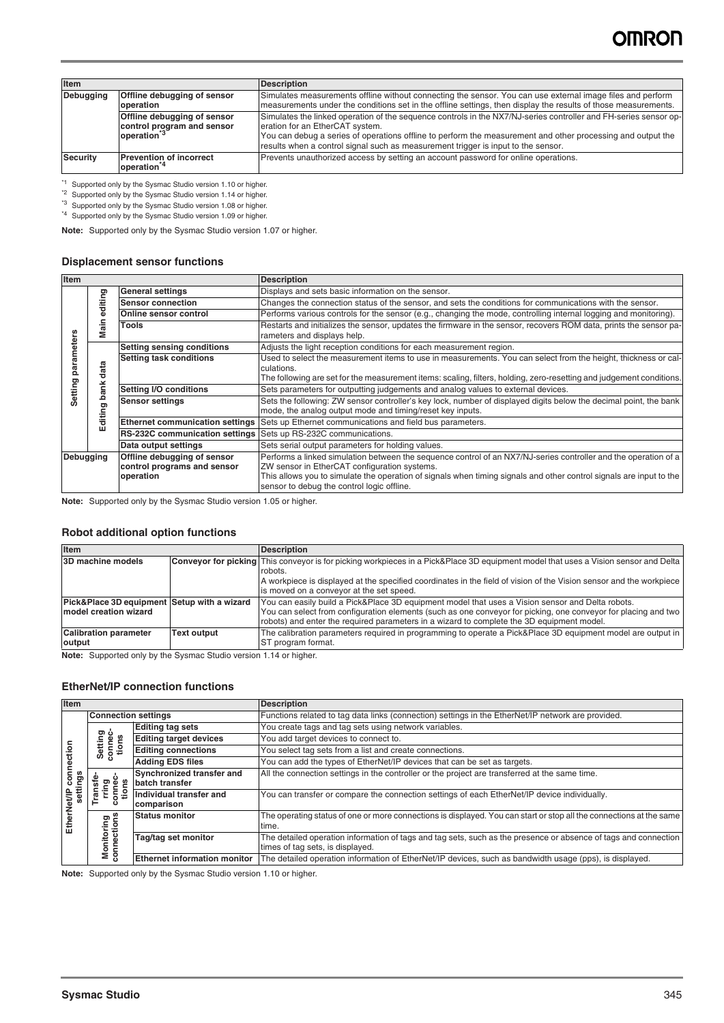| Item                                                         |                                                                                      | <b>Description</b>                                                                                                                                                                                                                                                                                                                                      |
|--------------------------------------------------------------|--------------------------------------------------------------------------------------|---------------------------------------------------------------------------------------------------------------------------------------------------------------------------------------------------------------------------------------------------------------------------------------------------------------------------------------------------------|
| <b>Debugging</b><br>Offline debugging of sensor<br>operation |                                                                                      | Simulates measurements offline without connecting the sensor. You can use external image files and perform<br>measurements under the conditions set in the offline settings, then display the results of those measurements.                                                                                                                            |
|                                                              | Offline debugging of sensor<br>control program and sensor<br>operation <sup>*3</sup> | Simulates the linked operation of the sequence controls in the NX7/NJ-series controller and FH-series sensor op-<br>eration for an EtherCAT system.<br>You can debug a series of operations offline to perform the measurement and other processing and output the<br>results when a control signal such as measurement trigger is input to the sensor. |
| <b>Security</b>                                              | <b>Prevention of incorrect</b><br>operation <sup>*4</sup>                            | Prevents unauthorized access by setting an account password for online operations.                                                                                                                                                                                                                                                                      |

\*1 Supported only by the Sysmac Studio version 1.10 or higher.

\*<sup>2</sup> Supported only by the Sysmac Studio version 1.14 or higher.

\*<sup>3</sup> Supported only by the Sysmac Studio version 1.08 or higher.

\*4 Supported only by the Sysmac Studio version 1.09 or higher.

**Note:** Supported only by the Sysmac Studio version 1.07 or higher.

#### **Displacement sensor functions**

| <b>Item</b> |                                 |                                                                         | <b>Description</b>                                                                                                                                                                                                                                                                                                                   |
|-------------|---------------------------------|-------------------------------------------------------------------------|--------------------------------------------------------------------------------------------------------------------------------------------------------------------------------------------------------------------------------------------------------------------------------------------------------------------------------------|
|             | diting<br>Φ<br>Main             | <b>General settings</b>                                                 | Displays and sets basic information on the sensor.                                                                                                                                                                                                                                                                                   |
|             |                                 | <b>Sensor connection</b>                                                | Changes the connection status of the sensor, and sets the conditions for communications with the sensor.                                                                                                                                                                                                                             |
|             |                                 | <b>Online sensor control</b>                                            | Performs various controls for the sensor (e.g., changing the mode, controlling internal logging and monitoring).                                                                                                                                                                                                                     |
|             |                                 | <b>Tools</b>                                                            | Restarts and initializes the sensor, updates the firmware in the sensor, recovers ROM data, prints the sensor pa-<br>rameters and displays help.                                                                                                                                                                                     |
|             | data<br>ank<br>ರಾ<br>ditin<br>Ŵ | <b>Setting sensing conditions</b>                                       | Adjusts the light reception conditions for each measurement region.                                                                                                                                                                                                                                                                  |
| paramete    |                                 | Setting task conditions                                                 | Used to select the measurement items to use in measurements. You can select from the height, thickness or cal-<br>culations.<br>The following are set for the measurement items: scaling, filters, holding, zero-resetting and judgement conditions.                                                                                 |
|             |                                 | Setting I/O conditions                                                  | Sets parameters for outputting judgements and analog values to external devices.                                                                                                                                                                                                                                                     |
| Setting     |                                 | <b>Sensor settings</b>                                                  | Sets the following: ZW sensor controller's key lock, number of displayed digits below the decimal point, the bank<br>mode, the analog output mode and timing/reset key inputs.                                                                                                                                                       |
|             |                                 | <b>Ethernet communication settings</b>                                  | Sets up Ethernet communications and field bus parameters.                                                                                                                                                                                                                                                                            |
|             |                                 | <b>RS-232C communication settings</b> Sets up RS-232C communications.   |                                                                                                                                                                                                                                                                                                                                      |
|             |                                 | Data output settings                                                    | Sets serial output parameters for holding values.                                                                                                                                                                                                                                                                                    |
| Debugging   |                                 | Offline debugging of sensor<br>control programs and sensor<br>operation | Performs a linked simulation between the sequence control of an NX7/NJ-series controller and the operation of a<br>ZW sensor in EtherCAT configuration systems.<br>This allows you to simulate the operation of signals when timing signals and other control signals are input to the<br>sensor to debug the control logic offline. |

**Note:** Supported only by the Sysmac Studio version 1.05 or higher.

#### **Robot additional option functions**

| Item                                                                 |                    | <b>Description</b>                                                                                                                                                                                                                                                                                              |
|----------------------------------------------------------------------|--------------------|-----------------------------------------------------------------------------------------------------------------------------------------------------------------------------------------------------------------------------------------------------------------------------------------------------------------|
| 3D machine models                                                    |                    | <b>Conveyor for picking</b> This conveyor is for picking workpieces in a Pick&Place 3D equipment model that uses a Vision sensor and Delta<br>robots.                                                                                                                                                           |
|                                                                      |                    | A workpiece is displayed at the specified coordinates in the field of vision of the Vision sensor and the workpiece<br>is moved on a conveyor at the set speed.                                                                                                                                                 |
| Pick&Place 3D equipment Setup with a wizard<br>model creation wizard |                    | You can easily build a Pick&Place 3D equipment model that uses a Vision sensor and Delta robots.<br>You can select from configuration elements (such as one conveyor for picking, one conveyor for placing and two<br>robots) and enter the required parameters in a wizard to complete the 3D equipment model. |
| <b>Calibration parameter</b><br>output                               | <b>Text output</b> | The calibration parameters required in programming to operate a Pick&Place 3D equipment model are output in<br><b>ST</b> program format.                                                                                                                                                                        |

**Note:** Supported only by the Sysmac Studio version 1.14 or higher.

### **EtherNet/IP connection functions**

| Item                                      |                                     |                                             | <b>Description</b>                                                                                                                                  |
|-------------------------------------------|-------------------------------------|---------------------------------------------|-----------------------------------------------------------------------------------------------------------------------------------------------------|
| connection<br>gs<br>settir<br>EtherNet/IF | <b>Connection settings</b>          |                                             | Functions related to tag data links (connection) settings in the EtherNet/IP network are provided.                                                  |
|                                           | თე                                  | <b>Editing tag sets</b>                     | You create tags and tag sets using network variables.                                                                                               |
|                                           | Setting<br>conneg<br>tions          | <b>Editing target devices</b>               | You add target devices to connect to.                                                                                                               |
|                                           |                                     | <b>Editing connections</b>                  | You select tag sets from a list and create connections.                                                                                             |
|                                           |                                     | <b>Adding EDS files</b>                     | You can add the types of EtherNet/IP devices that can be set as targets.                                                                            |
|                                           | €<br>rring<br>onnec<br>tions<br>ran | Synchronized transfer and<br>batch transfer | All the connection settings in the controller or the project are transferred at the same time.                                                      |
|                                           |                                     | Individual transfer and<br>comparison       | You can transfer or compare the connection settings of each EtherNet/IP device individually.                                                        |
|                                           | ත<br>듕                              | <b>Status monitor</b>                       | The operating status of one or more connections is displayed. You can start or stop all the connections at the same<br>time.                        |
|                                           | nnections                           | Tag/tag set monitor                         | The detailed operation information of tags and tag sets, such as the presence or absence of tags and connection<br>times of tag sets, is displayed. |
|                                           | ≊<br>g                              | <b>Ethernet information monitor</b>         | The detailed operation information of EtherNet/IP devices, such as bandwidth usage (pps), is displayed.                                             |

**Note:** Supported only by the Sysmac Studio version 1.10 or higher.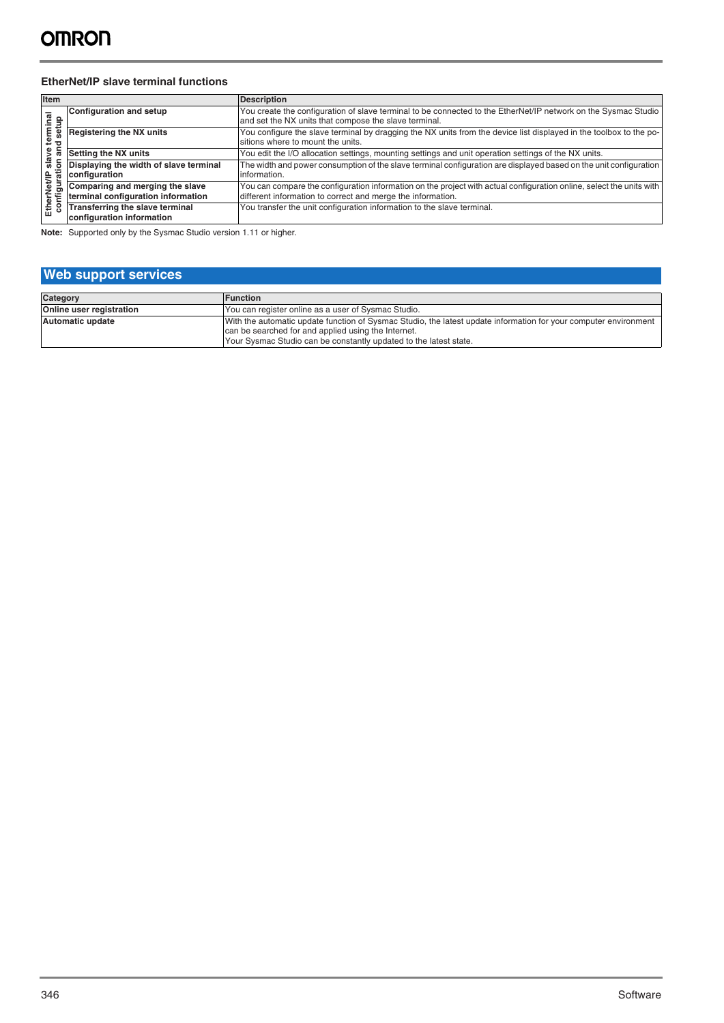#### **EtherNet/IP slave terminal functions**

| Item                                                                   |                                                                       | <b>Description</b>                                                                                                                                                                  |
|------------------------------------------------------------------------|-----------------------------------------------------------------------|-------------------------------------------------------------------------------------------------------------------------------------------------------------------------------------|
| rminal<br>setup<br>. ಆ<br>slave<br>ratic<br>EtherNet/IP<br>configurati | <b>Configuration and setup</b>                                        | You create the configuration of slave terminal to be connected to the EtherNet/IP network on the Sysmac Studio<br>and set the NX units that compose the slave terminal.             |
|                                                                        | <b>Registering the NX units</b>                                       | You configure the slave terminal by dragging the NX units from the device list displayed in the toolbox to the po-<br>sitions where to mount the units.                             |
|                                                                        | Setting the NX units                                                  | You edit the I/O allocation settings, mounting settings and unit operation settings of the NX units.                                                                                |
|                                                                        | Displaying the width of slave terminal<br>configuration               | The width and power consumption of the slave terminal configuration are displayed based on the unit configuration<br>information.                                                   |
|                                                                        | Comparing and merging the slave<br>terminal configuration information | You can compare the configuration information on the project with actual configuration online, select the units with<br>different information to correct and merge the information. |
|                                                                        | Transferring the slave terminal<br>configuration information          | You transfer the unit configuration information to the slave terminal.                                                                                                              |

**Note:** Supported only by the Sysmac Studio version 1.11 or higher.

# **Web support services Category Function**<br> **Contine user registration**<br> **Continents in the Continent of Trump and Trump and Trump and Trump and Trump and Trump and Trump and Trump and Trump and Trump and Trump and Trump and Trump and Trump an** You can register online as a user of Sysmac Studio.

| Automatic update | With the automatic update function of Sysmac Studio, the latest update information for your computer environment |
|------------------|------------------------------------------------------------------------------------------------------------------|
|                  | can be searched for and applied using the Internet.                                                              |
|                  | Your Sysmac Studio can be constantly updated to the latest state.                                                |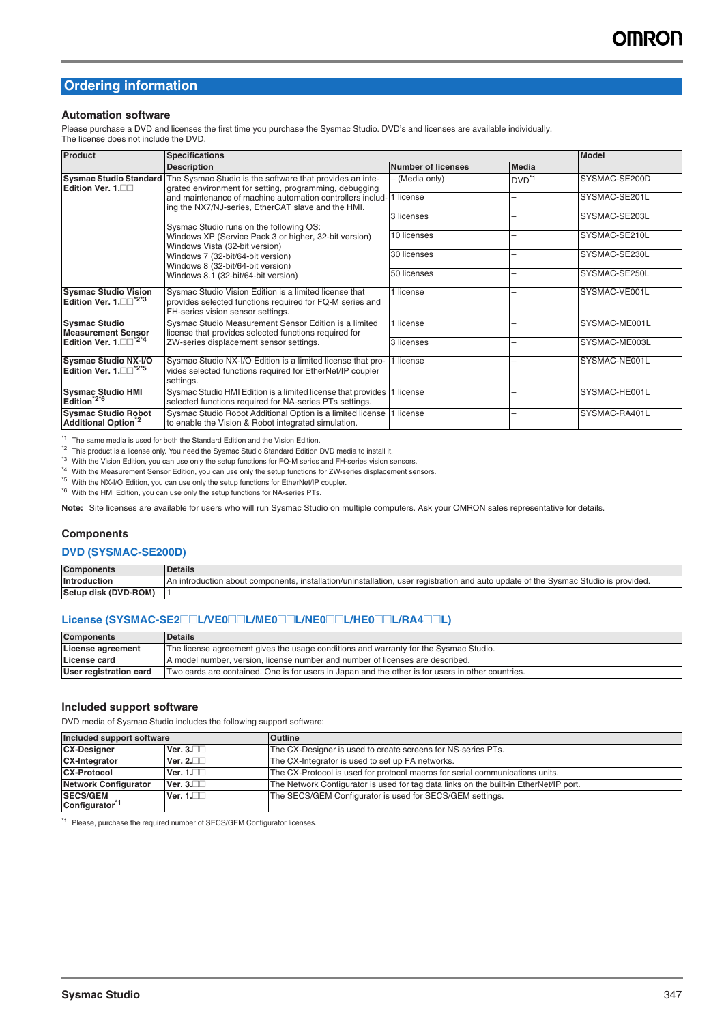# **Ordering information**

#### **Automation software**

Please purchase a DVD and licenses the first time you purchase the Sysmac Studio. DVD's and licenses are available individually. The license does not include the DVD.

| <b>Product</b>                                                          | <b>Specifications</b>                                                                                                                                   |                           |                | <b>Model</b>  |
|-------------------------------------------------------------------------|---------------------------------------------------------------------------------------------------------------------------------------------------------|---------------------------|----------------|---------------|
|                                                                         | <b>Description</b>                                                                                                                                      | <b>Number of licenses</b> | <b>Media</b>   |               |
| Edition Ver. 1.                                                         | Sysmac Studio Standard The Sysmac Studio is the software that provides an inte-<br>grated environment for setting, programming, debugging               | - (Media only)            | $DVD^{\star}1$ | SYSMAC-SE200D |
|                                                                         | and maintenance of machine automation controllers includ-<br>ing the NX7/NJ-series, EtherCAT slave and the HMI.                                         | 1 license                 |                | SYSMAC-SE201L |
|                                                                         | Sysmac Studio runs on the following OS:                                                                                                                 | 3 licenses                |                | SYSMAC-SE203L |
|                                                                         | Windows XP (Service Pack 3 or higher, 32-bit version)<br>Windows Vista (32-bit version)                                                                 | 10 licenses               |                | SYSMAC-SE210L |
|                                                                         | Windows 7 (32-bit/64-bit version)<br>Windows 8 (32-bit/64-bit version)<br>Windows 8.1 (32-bit/64-bit version)                                           | 30 licenses               |                | SYSMAC-SE230L |
|                                                                         |                                                                                                                                                         | 50 licenses               |                | SYSMAC-SE250L |
| <b>Sysmac Studio Vision</b><br>Edition Ver. $1.$ $\Box$ <sup>*2*3</sup> | Sysmac Studio Vision Edition is a limited license that<br>provides selected functions required for FQ-M series and<br>FH-series vision sensor settings. | 1 license                 |                | SYSMAC-VE001L |
| <b>Sysmac Studio</b><br><b>Measurement Sensor</b>                       | Sysmac Studio Measurement Sensor Edition is a limited<br>license that provides selected functions required for                                          | 1 license                 |                | SYSMAC-ME001L |
| Edition Ver. 1. $\square \square^{*2^{*}4}$                             | ZW-series displacement sensor settings.                                                                                                                 | 3 licenses                |                | SYSMAC-ME003L |
| <b>Sysmac Studio NX-I/O</b><br>Edition Ver. $1. \Box \Box^{2^{*}5}$     | Sysmac Studio NX-I/O Edition is a limited license that pro-<br>vides selected functions required for EtherNet/IP coupler<br>settinas.                   | 1 license                 |                | SYSMAC-NE001L |
| <b>Sysmac Studio HMI</b><br>Edition <sup>*2*6</sup>                     | Sysmac Studio HMI Edition is a limited license that provides<br>selected functions required for NA-series PTs settings.                                 | 1 license                 |                | SYSMAC-HE001L |
| <b>Sysmac Studio Robot</b><br>Additional Option <sup>2</sup>            | Sysmac Studio Robot Additional Option is a limited license<br>to enable the Vision & Robot integrated simulation.                                       | 1 license                 |                | SYSMAC-RA401L |

\*1 The same media is used for both the Standard Edition and the Vision Edition.

\*2 This product is a license only. You need the Sysmac Studio Standard Edition DVD media to install it.

\*3 With the Vision Edition, you can use only the setup functions for FQ-M series and FH-series vision sensors.

\*4 With the Measurement Sensor Edition, you can use only the setup functions for ZW-series displacement sensors.

\*5 With the NX-I/O Edition, you can use only the setup functions for EtherNet/IP coupler.

\*6 With the HMI Edition, you can use only the setup functions for NA-series PTs.

**Note:** Site licenses are available for users who will run Sysmac Studio on multiple computers. Ask your OMRON sales representative for details.

#### **Components**

#### **DVD (SYSMAC-SE200D)**

| <b>Components</b>       | <b>Details</b>                                                                                                                                                                                          |
|-------------------------|---------------------------------------------------------------------------------------------------------------------------------------------------------------------------------------------------------|
| Introduction            | update of the<br>uninstallatior<br>: Studio is provided.<br>instal<br>ு nents.<br>vsmac<br><b>Introduction</b><br>use<br>* auto<br>ΆΙ<br>`ano.<br>папо<br>registration<br>on/un<br>apout compor<br>5VSI |
| disk (DVD-ROM)<br>Setup |                                                                                                                                                                                                         |

### **License (SYSMAC-SE2**@@**L/VE0**@@**L/ME0**@@**L/NE0**@@**L/HE0**@@**L/RA4**@@**L)**

| <b>Components</b>        | <b>Details</b>                                                                                    |
|--------------------------|---------------------------------------------------------------------------------------------------|
| <b>License agreement</b> | The license agreement gives the usage conditions and warranty for the Sysmac Studio.              |
| <b>License card</b>      | A model number, version, license number and number of licenses are described.                     |
| User registration card   | Two cards are contained. One is for users in Japan and the other is for users in other countries. |

#### **Included support software**

DVD media of Sysmac Studio includes the following support software:

| Included support software                                                                 |           | <b>Outline</b>                                                                        |
|-------------------------------------------------------------------------------------------|-----------|---------------------------------------------------------------------------------------|
| <b>CX-Designer</b><br>Ver. $3.$                                                           |           | The CX-Designer is used to create screens for NS-series PTs.                          |
| <b>CX-Integrator</b><br>The CX-Integrator is used to set up FA networks.<br>Ver. $2.\Box$ |           |                                                                                       |
| <b>CX-Protocol</b>                                                                        | Ver. $1.$ | The CX-Protocol is used for protocol macros for serial communications units.          |
| <b>Network Configurator</b>                                                               | Ver. $3.$ | The Network Configurator is used for tag data links on the built-in EtherNet/IP port. |
| <b>SECS/GEM</b>                                                                           | Ver. $1.$ | The SECS/GEM Configurator is used for SECS/GEM settings.                              |
| Configurator <sup>1</sup>                                                                 |           |                                                                                       |

\*1 Please, purchase the required number of SECS/GEM Configurator licenses.